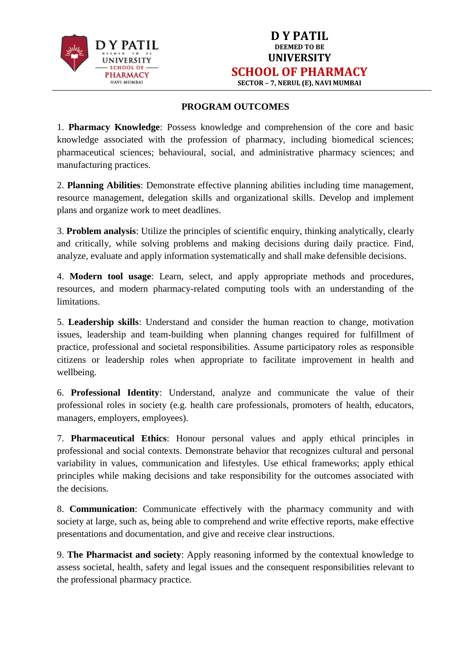



### **PROGRAM OUTCOMES**

1. **Pharmacy Knowledge**: Possess knowledge and comprehension of the core and basic knowledge associated with the profession of pharmacy, including biomedical sciences; pharmaceutical sciences; behavioural, social, and administrative pharmacy sciences; and manufacturing practices.

2. **Planning Abilities**: Demonstrate effective planning abilities including time management, resource management, delegation skills and organizational skills. Develop and implement plans and organize work to meet deadlines.

3. **Problem analysis**: Utilize the principles of scientific enquiry, thinking analytically, clearly and critically, while solving problems and making decisions during daily practice. Find, analyze, evaluate and apply information systematically and shall make defensible decisions.

4. **Modern tool usage**: Learn, select, and apply appropriate methods and procedures, resources, and modern pharmacy-related computing tools with an understanding of the limitations.

5. **Leadership skills**: Understand and consider the human reaction to change, motivation issues, leadership and team-building when planning changes required for fulfillment of practice, professional and societal responsibilities. Assume participatory roles as responsible citizens or leadership roles when appropriate to facilitate improvement in health and wellbeing.

6. **Professional Identity**: Understand, analyze and communicate the value of their professional roles in society (e.g. health care professionals, promoters of health, educators, managers, employers, employees).

7. **Pharmaceutical Ethics**: Honour personal values and apply ethical principles in professional and social contexts. Demonstrate behavior that recognizes cultural and personal variability in values, communication and lifestyles. Use ethical frameworks; apply ethical principles while making decisions and take responsibility for the outcomes associated with the decisions.

8. **Communication**: Communicate effectively with the pharmacy community and with society at large, such as, being able to comprehend and write effective reports, make effective presentations and documentation, and give and receive clear instructions.

9. **The Pharmacist and society**: Apply reasoning informed by the contextual knowledge to assess societal, health, safety and legal issues and the consequent responsibilities relevant to the professional pharmacy practice.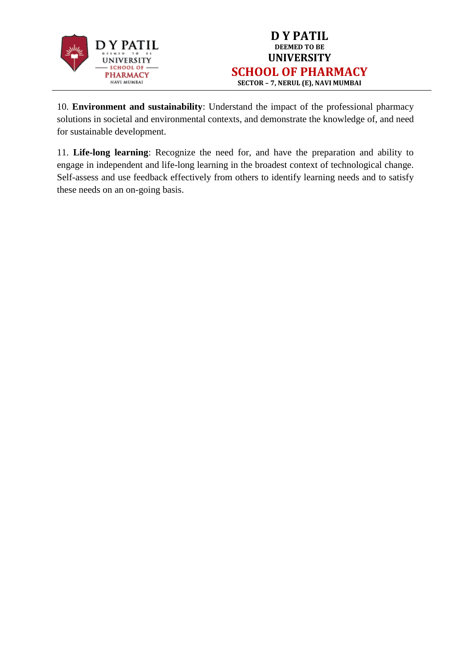



10. **Environment and sustainability**: Understand the impact of the professional pharmacy solutions in societal and environmental contexts, and demonstrate the knowledge of, and need for sustainable development.

11. **Life-long learning**: Recognize the need for, and have the preparation and ability to engage in independent and life-long learning in the broadest context of technological change. Self-assess and use feedback effectively from others to identify learning needs and to satisfy these needs on an on-going basis.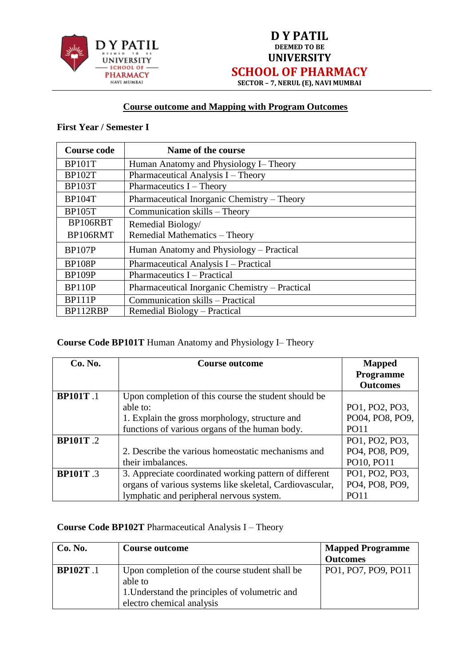

# **D Y PATIL DEEMED TO BE UNIVERSITY SCHOOL OF PHARMACY SECTOR – 7, NERUL (E), NAVI MUMBAI**

### **Course outcome and Mapping with Program Outcomes**

#### **First Year / Semester I**

| <b>Course code</b> | Name of the course                             |
|--------------------|------------------------------------------------|
| <b>BP101T</b>      | Human Anatomy and Physiology I– Theory         |
| <b>BP102T</b>      | Pharmaceutical Analysis I – Theory             |
| <b>BP103T</b>      | Pharmaceutics $I$ – Theory                     |
| <b>BP104T</b>      | Pharmaceutical Inorganic Chemistry – Theory    |
| <b>BP105T</b>      | Communication skills - Theory                  |
| BP106RBT           | Remedial Biology/                              |
| BP106RMT           | Remedial Mathematics - Theory                  |
| <b>BP107P</b>      | Human Anatomy and Physiology – Practical       |
| <b>BP108P</b>      | Pharmaceutical Analysis I – Practical          |
| <b>BP109P</b>      | Pharmaceutics I - Practical                    |
| <b>BP110P</b>      | Pharmaceutical Inorganic Chemistry - Practical |
| <b>BP111P</b>      | Communication skills - Practical               |
| BP112RBP           | Remedial Biology – Practical                   |

# **Course Code BP101T** Human Anatomy and Physiology I– Theory

| Co. No.          | <b>Course outcome</b>                                    | <b>Mapped</b>    |
|------------------|----------------------------------------------------------|------------------|
|                  |                                                          | <b>Programme</b> |
|                  |                                                          | <b>Outcomes</b>  |
| <b>BP101T</b> .1 | Upon completion of this course the student should be     |                  |
|                  | able to:                                                 | PO1, PO2, PO3,   |
|                  | 1. Explain the gross morphology, structure and           | PO04, PO8, PO9,  |
|                  | functions of various organs of the human body.           | <b>PO11</b>      |
| <b>BP101T.2</b>  |                                                          | PO1, PO2, PO3,   |
|                  | 2. Describe the various homeostatic mechanisms and       | PO4, PO8, PO9,   |
|                  | their imbalances.                                        | PO10, PO11       |
| <b>BP101T.3</b>  | 3. Appreciate coordinated working pattern of different   | PO1, PO2, PO3,   |
|                  | organs of various systems like skeletal, Cardiovascular, | PO4, PO8, PO9,   |
|                  | lymphatic and peripheral nervous system.                 | <b>PO11</b>      |

### **Course Code BP102T** Pharmaceutical Analysis I – Theory

| Co. No.          | <b>Course outcome</b>                                                                                       | <b>Mapped Programme</b><br><b>Outcomes</b> |
|------------------|-------------------------------------------------------------------------------------------------------------|--------------------------------------------|
| <b>BP102T</b> .1 | Upon completion of the course student shall be<br>able to<br>1. Understand the principles of volumetric and | PO1, PO7, PO9, PO11                        |
|                  | electro chemical analysis                                                                                   |                                            |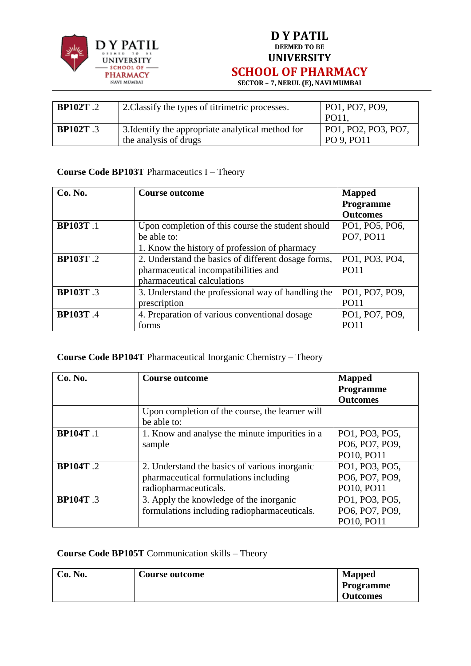



**SECTOR – 7, NERUL (E), NAVI MUMBAI**

| <b>BP102T</b> .2 | 2. Classify the types of titrimetric processes.                            | PO1, PO7, PO9,<br><b>PO11.</b>    |
|------------------|----------------------------------------------------------------------------|-----------------------------------|
| <b>BP102T</b> .3 | 3. Identify the appropriate analytical method for<br>the analysis of drugs | PO1, PO2, PO3, PO7,<br>PO 9, PO11 |

## **Course Code BP103T** Pharmaceutics I – Theory

| Co. No.          | Course outcome                                      | <b>Mapped</b>   |
|------------------|-----------------------------------------------------|-----------------|
|                  |                                                     | Programme       |
|                  |                                                     | <b>Outcomes</b> |
| <b>BP103T</b> .1 | Upon completion of this course the student should   | PO1, PO5, PO6,  |
|                  | be able to:                                         | PO7, PO11       |
|                  | 1. Know the history of profession of pharmacy       |                 |
| <b>BP103T.2</b>  | 2. Understand the basics of different dosage forms, | PO1, PO3, PO4,  |
|                  | pharmaceutical incompatibilities and                | <b>PO11</b>     |
|                  | pharmaceutical calculations                         |                 |
| <b>BP103T .3</b> | 3. Understand the professional way of handling the  | PO1, PO7, PO9,  |
|                  | prescription                                        | <b>PO11</b>     |
| <b>BP103T .4</b> | 4. Preparation of various conventional dosage       | PO1, PO7, PO9,  |
|                  | forms                                               | <b>PO11</b>     |

# **Course Code BP104T** Pharmaceutical Inorganic Chemistry – Theory

| Co. No.          | <b>Course outcome</b>                                                                                           | <b>Mapped</b><br><b>Programme</b><br><b>Outcomes</b> |
|------------------|-----------------------------------------------------------------------------------------------------------------|------------------------------------------------------|
|                  | Upon completion of the course, the learner will<br>be able to:                                                  |                                                      |
| <b>BP104T</b> .1 | 1. Know and analyse the minute impurities in a<br>sample                                                        | PO1, PO3, PO5,<br>PO6, PO7, PO9,<br>PO10, PO11       |
| <b>BP104T.2</b>  | 2. Understand the basics of various inorganic<br>pharmaceutical formulations including<br>radiopharmaceuticals. | PO1, PO3, PO5,<br>PO6, PO7, PO9,<br>PO10, PO11       |
| <b>BP104T.3</b>  | 3. Apply the knowledge of the inorganic<br>formulations including radiopharmaceuticals.                         | PO1, PO3, PO5,<br>PO6, PO7, PO9,<br>PO10, PO11       |

# **Course Code BP105T** Communication skills – Theory

| <b>Co. No.</b> | <b>Course outcome</b> | <b>Mapped</b>    |
|----------------|-----------------------|------------------|
|                |                       | <b>Programme</b> |
|                |                       | <b>Outcomes</b>  |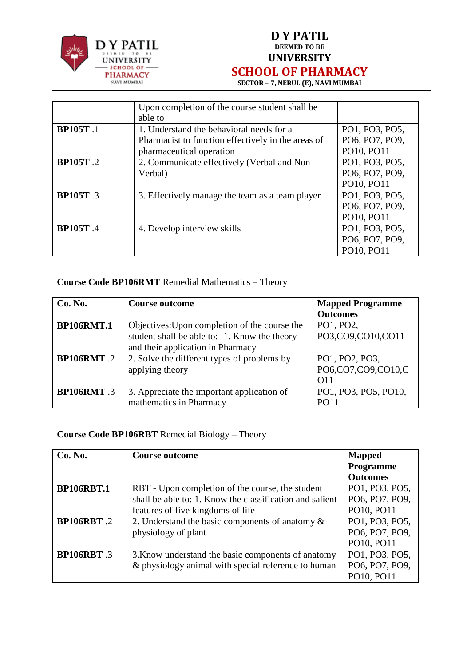



|                  | Upon completion of the course student shall be     |                |
|------------------|----------------------------------------------------|----------------|
|                  | able to                                            |                |
| <b>BP105T</b> .1 | 1. Understand the behavioral needs for a           | PO1, PO3, PO5, |
|                  | Pharmacist to function effectively in the areas of | PO6, PO7, PO9, |
|                  | pharmaceutical operation                           | PO10, PO11     |
| <b>BP105T.2</b>  | 2. Communicate effectively (Verbal and Non         | PO1, PO3, PO5, |
|                  | Verbal)                                            | PO6, PO7, PO9, |
|                  |                                                    | PO10, PO11     |
| <b>BP105T.3</b>  | 3. Effectively manage the team as a team player    | PO1, PO3, PO5, |
|                  |                                                    | PO6, PO7, PO9, |
|                  |                                                    | PO10, PO11     |
| <b>BP105T .4</b> | 4. Develop interview skills                        | PO1, PO3, PO5, |
|                  |                                                    | PO6, PO7, PO9, |
|                  |                                                    | PO10, PO11     |

### **Course Code BP106RMT** Remedial Mathematics – Theory

| Co. No.            | <b>Course outcome</b>                         | <b>Mapped Programme</b> |
|--------------------|-----------------------------------------------|-------------------------|
|                    |                                               | <b>Outcomes</b>         |
| <b>BP106RMT.1</b>  | Objectives: Upon completion of the course the | PO1, PO2,               |
|                    | student shall be able to:- 1. Know the theory | PO3,CO9,CO10,CO11       |
|                    | and their application in Pharmacy             |                         |
| <b>BP106RMT.2</b>  | 2. Solve the different types of problems by   | PO1, PO2, PO3,          |
|                    | applying theory                               | PO6,CO7,CO9,CO10,C      |
|                    |                                               | O <sub>11</sub>         |
| <b>BP106RMT</b> .3 | 3. Appreciate the important application of    | PO1, PO3, PO5, PO10,    |
|                    | mathematics in Pharmacy                       | <b>PO11</b>             |

# **Course Code BP106RBT** Remedial Biology – Theory

| Co. No.            | <b>Course outcome</b>                                    | <b>Mapped</b>   |
|--------------------|----------------------------------------------------------|-----------------|
|                    |                                                          | Programme       |
|                    |                                                          | <b>Outcomes</b> |
| <b>BP106RBT.1</b>  | RBT - Upon completion of the course, the student         | PO1, PO3, PO5,  |
|                    | shall be able to: 1. Know the classification and salient | PO6, PO7, PO9,  |
|                    | features of five kingdoms of life                        | PO10, PO11      |
| <b>BP106RBT.2</b>  | 2. Understand the basic components of anatomy $\&$       | PO1, PO3, PO5,  |
|                    | physiology of plant                                      | PO6, PO7, PO9,  |
|                    |                                                          | PO10, PO11      |
| <b>BP106RBT</b> .3 | 3. Know understand the basic components of anatomy       | PO1, PO3, PO5,  |
|                    | & physiology animal with special reference to human      | PO6, PO7, PO9,  |
|                    |                                                          | PO10, PO11      |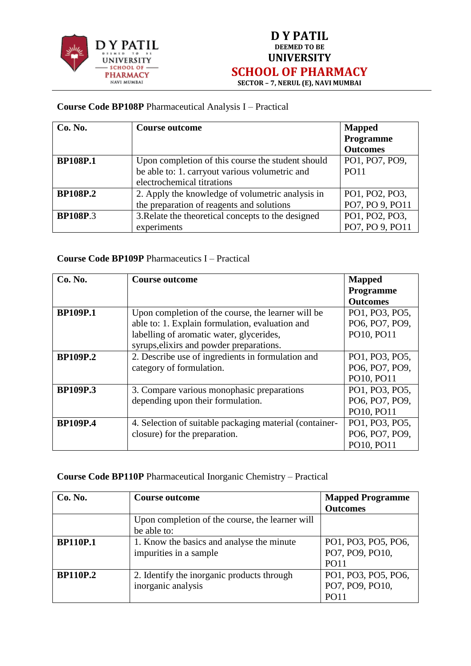

# **D Y PATIL DEEMED TO BE UNIVERSITY SCHOOL OF PHARMACY SECTOR – 7, NERUL (E), NAVI MUMBAI**

# **Course Code BP108P** Pharmaceutical Analysis I – Practical

| Co. No.         | <b>Course outcome</b>                              | <b>Mapped</b>   |
|-----------------|----------------------------------------------------|-----------------|
|                 |                                                    | Programme       |
|                 |                                                    | <b>Outcomes</b> |
| <b>BP108P.1</b> | Upon completion of this course the student should  | PO1, PO7, PO9,  |
|                 | be able to: 1. carryout various volumetric and     | <b>PO11</b>     |
|                 | electrochemical titrations                         |                 |
| <b>BP108P.2</b> | 2. Apply the knowledge of volumetric analysis in   | PO1, PO2, PO3,  |
|                 | the preparation of reagents and solutions          | PO7, PO 9, PO11 |
| <b>BP108P.3</b> | 3. Relate the theoretical concepts to the designed | PO1, PO2, PO3,  |
|                 | experiments                                        | PO7, PO 9, PO11 |

# **Course Code BP109P** Pharmaceutics I – Practical

| Co. No.         | <b>Course outcome</b>                                   | <b>Mapped</b><br><b>Programme</b> |
|-----------------|---------------------------------------------------------|-----------------------------------|
|                 |                                                         | <b>Outcomes</b>                   |
| <b>BP109P.1</b> | Upon completion of the course, the learner will be      | PO1, PO3, PO5,                    |
|                 | able to: 1. Explain formulation, evaluation and         | PO6, PO7, PO9,                    |
|                 | labelling of aromatic water, glycerides,                | PO10, PO11                        |
|                 | syrups, elixirs and powder preparations.                |                                   |
| <b>BP109P.2</b> | 2. Describe use of ingredients in formulation and       | PO1, PO3, PO5,                    |
|                 | category of formulation.                                | PO6, PO7, PO9,                    |
|                 |                                                         | PO10, PO11                        |
| <b>BP109P.3</b> | 3. Compare various monophasic preparations              | PO1, PO3, PO5,                    |
|                 | depending upon their formulation.                       | PO6, PO7, PO9,                    |
|                 |                                                         | PO10, PO11                        |
| <b>BP109P.4</b> | 4. Selection of suitable packaging material (container- | PO1, PO3, PO5,                    |
|                 | closure) for the preparation.                           | PO6, PO7, PO9,                    |
|                 |                                                         | PO10, PO11                        |

# **Course Code BP110P** Pharmaceutical Inorganic Chemistry – Practical

| Co. No.         | <b>Course outcome</b>                           | <b>Mapped Programme</b> |
|-----------------|-------------------------------------------------|-------------------------|
|                 |                                                 | <b>Outcomes</b>         |
|                 | Upon completion of the course, the learner will |                         |
|                 | be able to:                                     |                         |
| <b>BP110P.1</b> | 1. Know the basics and analyse the minute       | PO1, PO3, PO5, PO6,     |
|                 | impurities in a sample                          | PO7, PO9, PO10,         |
|                 |                                                 | <b>PO11</b>             |
| <b>BP110P.2</b> | 2. Identify the inorganic products through      | PO1, PO3, PO5, PO6,     |
|                 | inorganic analysis                              | PO7, PO9, PO10,         |
|                 |                                                 | <b>PO11</b>             |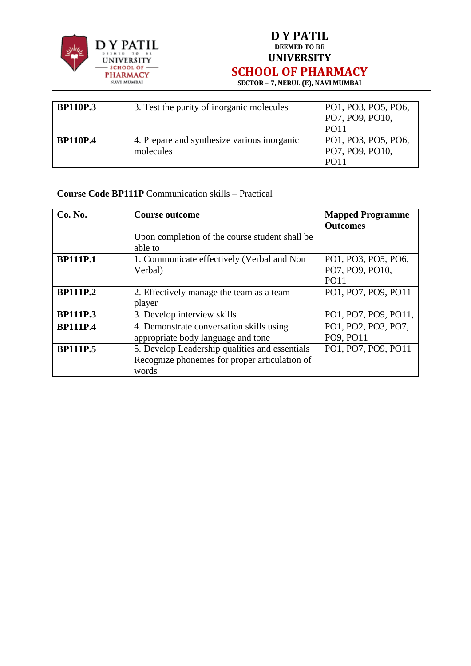

**SECTOR – 7, NERUL (E), NAVI MUMBAI**

| <b>BP110P.3</b> | 3. Test the purity of inorganic molecules                | PO1, PO3, PO5, PO6,<br>PO7, PO9, PO10,<br><b>PO11</b> |
|-----------------|----------------------------------------------------------|-------------------------------------------------------|
| <b>BP110P.4</b> | 4. Prepare and synthesize various inorganic<br>molecules | PO1, PO3, PO5, PO6,<br>PO7, PO9, PO10,<br><b>PO11</b> |

#### **Course Code BP111P** Communication skills – Practical

| Co. No.         | <b>Course outcome</b>                          | <b>Mapped Programme</b> |
|-----------------|------------------------------------------------|-------------------------|
|                 |                                                | <b>Outcomes</b>         |
|                 | Upon completion of the course student shall be |                         |
|                 | able to                                        |                         |
| <b>BP111P.1</b> | 1. Communicate effectively (Verbal and Non     | PO1, PO3, PO5, PO6,     |
|                 | Verbal)                                        | PO7, PO9, PO10,         |
|                 |                                                | <b>PO11</b>             |
| <b>BP111P.2</b> | 2. Effectively manage the team as a team       | PO1, PO7, PO9, PO11     |
|                 | player                                         |                         |
| <b>BP111P.3</b> | 3. Develop interview skills                    | PO1, PO7, PO9, PO11,    |
| <b>BP111P.4</b> | 4. Demonstrate conversation skills using       | PO1, PO2, PO3, PO7,     |
|                 | appropriate body language and tone             | PO9, PO11               |
| <b>BP111P.5</b> | 5. Develop Leadership qualities and essentials | PO1, PO7, PO9, PO11     |
|                 | Recognize phonemes for proper articulation of  |                         |
|                 | words                                          |                         |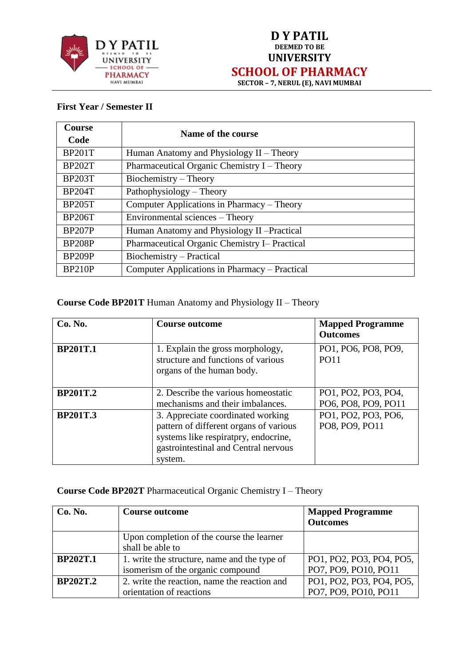



### **First Year / Semester II**

| <b>Course</b> | Name of the course                            |
|---------------|-----------------------------------------------|
| Code          |                                               |
| <b>BP201T</b> | Human Anatomy and Physiology II – Theory      |
| <b>BP202T</b> | Pharmaceutical Organic Chemistry I - Theory   |
| <b>BP203T</b> | Biochemistry – Theory                         |
| <b>BP204T</b> | Pathophysiology – Theory                      |
| <b>BP205T</b> | Computer Applications in Pharmacy – Theory    |
| <b>BP206T</b> | Environmental sciences - Theory               |
| <b>BP207P</b> | Human Anatomy and Physiology II -Practical    |
| <b>BP208P</b> | Pharmaceutical Organic Chemistry I– Practical |
| <b>BP209P</b> | Biochemistry - Practical                      |
| <b>BP210P</b> | Computer Applications in Pharmacy – Practical |

**Course Code BP201T** Human Anatomy and Physiology II – Theory

| Co. No.         | <b>Course outcome</b>                                                                                                                                                  | <b>Mapped Programme</b><br><b>Outcomes</b> |
|-----------------|------------------------------------------------------------------------------------------------------------------------------------------------------------------------|--------------------------------------------|
| <b>BP201T.1</b> | 1. Explain the gross morphology,<br>structure and functions of various<br>organs of the human body.                                                                    | PO1, PO6, PO8, PO9,<br><b>PO11</b>         |
| <b>BP201T.2</b> | 2. Describe the various homeostatic<br>mechanisms and their imbalances.                                                                                                | PO1, PO2, PO3, PO4,<br>PO6, PO8, PO9, PO11 |
| <b>BP201T.3</b> | 3. Appreciate coordinated working<br>pattern of different organs of various<br>systems like respiratpry, endocrine,<br>gastrointestinal and Central nervous<br>system. | PO1, PO2, PO3, PO6,<br>PO8, PO9, PO11      |

# **Course Code BP202T** Pharmaceutical Organic Chemistry I – Theory

| Co. No.         | <b>Course outcome</b>                        | <b>Mapped Programme</b><br><b>Outcomes</b> |
|-----------------|----------------------------------------------|--------------------------------------------|
|                 | Upon completion of the course the learner    |                                            |
|                 | shall be able to                             |                                            |
| <b>BP202T.1</b> | 1. write the structure, name and the type of | PO1, PO2, PO3, PO4, PO5,                   |
|                 | isomerism of the organic compound            | PO7, PO9, PO10, PO11                       |
| <b>BP202T.2</b> | 2. write the reaction, name the reaction and | PO1, PO2, PO3, PO4, PO5,                   |
|                 | orientation of reactions                     | PO7, PO9, PO10, PO11                       |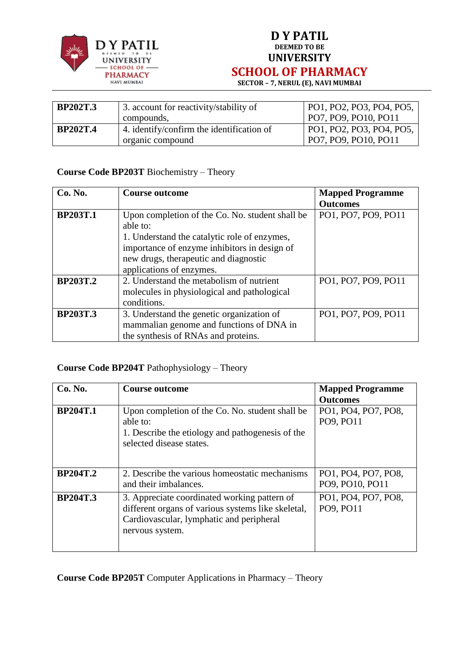



**SECTOR – 7, NERUL (E), NAVI MUMBAI**

| <b>BP202T.3</b> | 3. account for reactivity/stability of    | PO1, PO2, PO3, PO4, PO5, |
|-----------------|-------------------------------------------|--------------------------|
|                 | compounds,                                | PO7, PO9, PO10, PO11     |
| <b>BP202T.4</b> | 4. identify/confirm the identification of | PO1, PO2, PO3, PO4, PO5, |
|                 | organic compound                          | PO7, PO9, PO10, PO11     |

### **Course Code BP203T** Biochemistry – Theory

| Co. No.         | <b>Course outcome</b>                           | <b>Mapped Programme</b> |
|-----------------|-------------------------------------------------|-------------------------|
|                 |                                                 | <b>Outcomes</b>         |
| <b>BP203T.1</b> | Upon completion of the Co. No. student shall be | PO1, PO7, PO9, PO11     |
|                 | able to:                                        |                         |
|                 | 1. Understand the catalytic role of enzymes,    |                         |
|                 | importance of enzyme inhibitors in design of    |                         |
|                 | new drugs, therapeutic and diagnostic           |                         |
|                 | applications of enzymes.                        |                         |
| <b>BP203T.2</b> | 2. Understand the metabolism of nutrient        | PO1, PO7, PO9, PO11     |
|                 | molecules in physiological and pathological     |                         |
|                 | conditions.                                     |                         |
| <b>BP203T.3</b> | 3. Understand the genetic organization of       | PO1, PO7, PO9, PO11     |
|                 | mammalian genome and functions of DNA in        |                         |
|                 | the synthesis of RNAs and proteins.             |                         |

# **Course Code BP204T** Pathophysiology – Theory

| Co. No.         | <b>Course outcome</b>                                                                                                                                             | <b>Mapped Programme</b><br><b>Outcomes</b> |
|-----------------|-------------------------------------------------------------------------------------------------------------------------------------------------------------------|--------------------------------------------|
| <b>BP204T.1</b> | Upon completion of the Co. No. student shall be<br>able to:<br>1. Describe the etiology and pathogenesis of the<br>selected disease states.                       | PO1, PO4, PO7, PO8,<br>PO9, PO11           |
| <b>BP204T.2</b> | 2. Describe the various homeostatic mechanisms<br>and their imbalances.                                                                                           | PO1, PO4, PO7, PO8,<br>PO9, PO10, PO11     |
| <b>BP204T.3</b> | 3. Appreciate coordinated working pattern of<br>different organs of various systems like skeletal,<br>Cardiovascular, lymphatic and peripheral<br>nervous system. | PO1, PO4, PO7, PO8,<br>PO9, PO11           |

**Course Code BP205T** Computer Applications in Pharmacy – Theory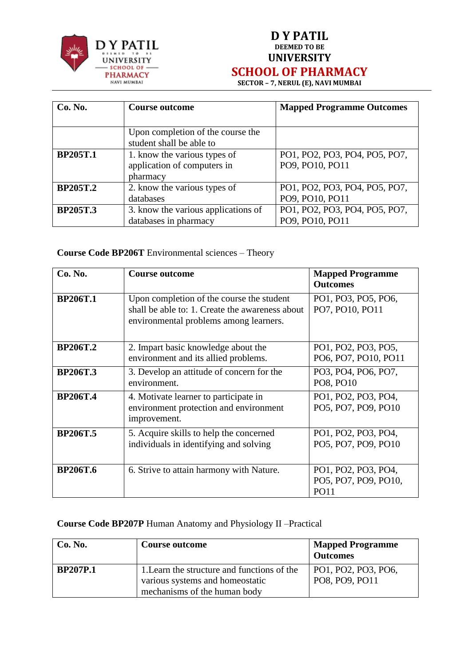

**SECTOR – 7, NERUL (E), NAVI MUMBAI**

| Co. No.         | <b>Course outcome</b>                                                   | <b>Mapped Programme Outcomes</b>                 |
|-----------------|-------------------------------------------------------------------------|--------------------------------------------------|
|                 | Upon completion of the course the<br>student shall be able to           |                                                  |
| <b>BP205T.1</b> | 1. know the various types of<br>application of computers in<br>pharmacy | PO1, PO2, PO3, PO4, PO5, PO7,<br>PO9, PO10, PO11 |
| <b>BP205T.2</b> | 2. know the various types of<br>databases                               | PO1, PO2, PO3, PO4, PO5, PO7,<br>PO9, PO10, PO11 |
| <b>BP205T.3</b> | 3. know the various applications of<br>databases in pharmacy            | PO1, PO2, PO3, PO4, PO5, PO7,<br>PO9, PO10, PO11 |

# **Course Code BP206T** Environmental sciences – Theory

| <b>Co. No.</b>  | <b>Course outcome</b>                                                                                                                  | <b>Mapped Programme</b><br><b>Outcomes</b>                 |
|-----------------|----------------------------------------------------------------------------------------------------------------------------------------|------------------------------------------------------------|
| <b>BP206T.1</b> | Upon completion of the course the student<br>shall be able to: 1. Create the awareness about<br>environmental problems among learners. | PO1, PO3, PO5, PO6,<br>PO7, PO10, PO11                     |
| <b>BP206T.2</b> | 2. Impart basic knowledge about the<br>environment and its allied problems.                                                            | PO1, PO2, PO3, PO5,<br>PO6, PO7, PO10, PO11                |
| <b>BP206T.3</b> | 3. Develop an attitude of concern for the<br>environment.                                                                              | PO3, PO4, PO6, PO7,<br>PO8, PO10                           |
| <b>BP206T.4</b> | 4. Motivate learner to participate in<br>environment protection and environment<br>improvement.                                        | PO1, PO2, PO3, PO4,<br>PO5, PO7, PO9, PO10                 |
| <b>BP206T.5</b> | 5. Acquire skills to help the concerned<br>individuals in identifying and solving                                                      | PO1, PO2, PO3, PO4,<br>PO5, PO7, PO9, PO10                 |
| <b>BP206T.6</b> | 6. Strive to attain harmony with Nature.                                                                                               | PO1, PO2, PO3, PO4,<br>PO5, PO7, PO9, PO10,<br><b>PO11</b> |

### **Course Code BP207P** Human Anatomy and Physiology II –Practical

| Co. No.         | <b>Course outcome</b>                                                                                          | <b>Mapped Programme</b><br><b>Outcomes</b> |
|-----------------|----------------------------------------------------------------------------------------------------------------|--------------------------------------------|
| <b>BP207P.1</b> | 1. Learn the structure and functions of the<br>various systems and homeostatic<br>mechanisms of the human body | PO1, PO2, PO3, PO6,<br>PO8, PO9, PO11      |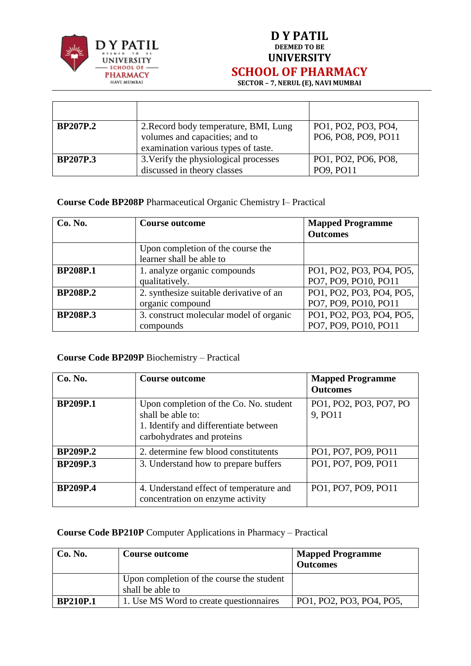

**SECTOR – 7, NERUL (E), NAVI MUMBAI**

| <b>BP207P.2</b> | 2. Record body temperature, BMI, Lung | PO1, PO2, PO3, PO4, |
|-----------------|---------------------------------------|---------------------|
|                 | volumes and capacities; and to        | PO6, PO8, PO9, PO11 |
|                 | examination various types of taste.   |                     |
| <b>BP207P.3</b> | 3. Verify the physiological processes | PO1, PO2, PO6, PO8, |
|                 | discussed in theory classes           | PO9, PO11           |

**Course Code BP208P** Pharmaceutical Organic Chemistry I– Practical

| Co. No.         | <b>Course outcome</b>                                         | <b>Mapped Programme</b><br><b>Outcomes</b>       |
|-----------------|---------------------------------------------------------------|--------------------------------------------------|
|                 | Upon completion of the course the<br>learner shall be able to |                                                  |
| <b>BP208P.1</b> | 1. analyze organic compounds<br>qualitatively.                | PO1, PO2, PO3, PO4, PO5,<br>PO7, PO9, PO10, PO11 |
| <b>BP208P.2</b> | 2. synthesize suitable derivative of an<br>organic compound   | PO1, PO2, PO3, PO4, PO5,<br>PO7, PO9, PO10, PO11 |
| <b>BP208P.3</b> | 3. construct molecular model of organic<br>compounds          | PO1, PO2, PO3, PO4, PO5,<br>PO7, PO9, PO10, PO11 |

# **Course Code BP209P** Biochemistry – Practical

| Co. No.         | <b>Course outcome</b>                                                                                                              | <b>Mapped Programme</b><br><b>Outcomes</b> |
|-----------------|------------------------------------------------------------------------------------------------------------------------------------|--------------------------------------------|
| <b>BP209P.1</b> | Upon completion of the Co. No. student<br>shall be able to:<br>1. Identify and differentiate between<br>carbohydrates and proteins | PO1, PO2, PO3, PO7, PO<br>9, PO11          |
| <b>BP209P.2</b> | 2. determine few blood constitutents                                                                                               | PO1, PO7, PO9, PO11                        |
| <b>BP209P.3</b> | 3. Understand how to prepare buffers                                                                                               | PO1, PO7, PO9, PO11                        |
| <b>BP209P.4</b> | 4. Understand effect of temperature and<br>concentration on enzyme activity                                                        | PO1, PO7, PO9, PO11                        |

**Course Code BP210P** Computer Applications in Pharmacy – Practical

| Co. No.         | Course outcome                                                | <b>Mapped Programme</b><br><b>Outcomes</b> |
|-----------------|---------------------------------------------------------------|--------------------------------------------|
|                 | Upon completion of the course the student<br>shall be able to |                                            |
| <b>BP210P.1</b> | 1. Use MS Word to create questionnaires                       | PO1, PO2, PO3, PO4, PO5,                   |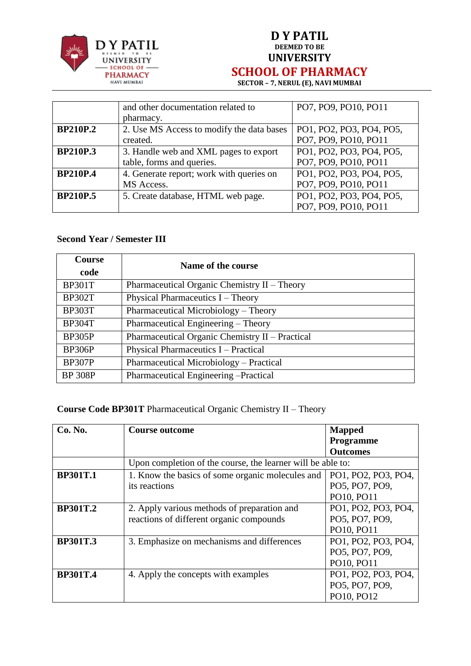



|                 | and other documentation related to        | PO7, PO9, PO10, PO11     |
|-----------------|-------------------------------------------|--------------------------|
|                 | pharmacy.                                 |                          |
| <b>BP210P.2</b> | 2. Use MS Access to modify the data bases | PO1, PO2, PO3, PO4, PO5, |
|                 | created.                                  | PO7, PO9, PO10, PO11     |
| <b>BP210P.3</b> | 3. Handle web and XML pages to export     | PO1, PO2, PO3, PO4, PO5, |
|                 | table, forms and queries.                 | PO7, PO9, PO10, PO11     |
| <b>BP210P.4</b> | 4. Generate report; work with queries on  | PO1, PO2, PO3, PO4, PO5, |
|                 | MS Access.                                | PO7, PO9, PO10, PO11     |
| <b>BP210P.5</b> | 5. Create database, HTML web page.        | PO1, PO2, PO3, PO4, PO5, |
|                 |                                           | PO7, PO9, PO10, PO11     |

### **Second Year / Semester III**

| <b>Course</b><br>code | Name of the course                              |
|-----------------------|-------------------------------------------------|
| <b>BP301T</b>         | Pharmaceutical Organic Chemistry II - Theory    |
| <b>BP302T</b>         | Physical Pharmaceutics $I$ – Theory             |
| <b>BP303T</b>         | Pharmaceutical Microbiology – Theory            |
| <b>BP304T</b>         | Pharmaceutical Engineering - Theory             |
| <b>BP305P</b>         | Pharmaceutical Organic Chemistry II - Practical |
| <b>BP306P</b>         | Physical Pharmaceutics I – Practical            |
| <b>BP307P</b>         | Pharmaceutical Microbiology – Practical         |
| <b>BP 308P</b>        | Pharmaceutical Engineering - Practical          |

# **Course Code BP301T** Pharmaceutical Organic Chemistry II – Theory

| Co. No.         | Course outcome                                              | <b>Mapped</b>       |
|-----------------|-------------------------------------------------------------|---------------------|
|                 |                                                             | Programme           |
|                 |                                                             | <b>Outcomes</b>     |
|                 | Upon completion of the course, the learner will be able to: |                     |
| <b>BP301T.1</b> | 1. Know the basics of some organic molecules and            | PO1, PO2, PO3, PO4, |
|                 | its reactions                                               | PO5, PO7, PO9,      |
|                 |                                                             | PO10, PO11          |
| <b>BP301T.2</b> | 2. Apply various methods of preparation and                 | PO1, PO2, PO3, PO4, |
|                 | reactions of different organic compounds                    | PO5, PO7, PO9,      |
|                 |                                                             | PO10, PO11          |
| <b>BP301T.3</b> | 3. Emphasize on mechanisms and differences                  | PO1, PO2, PO3, PO4, |
|                 |                                                             | PO5, PO7, PO9,      |
|                 |                                                             | PO10, PO11          |
| <b>BP301T.4</b> | 4. Apply the concepts with examples                         | PO1, PO2, PO3, PO4, |
|                 |                                                             | PO5, PO7, PO9,      |
|                 |                                                             | PO10, PO12          |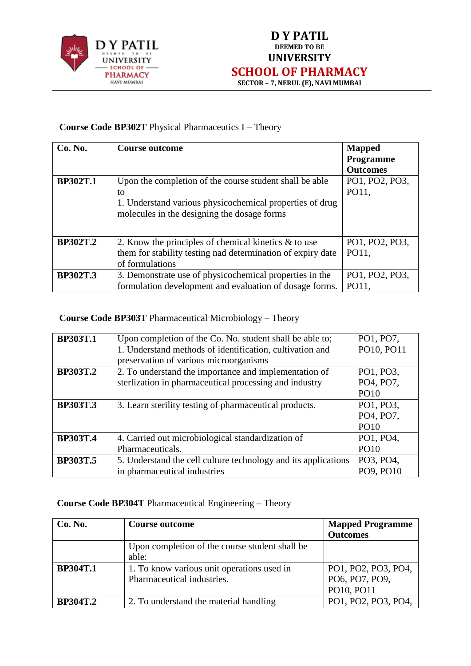



### **Course Code BP302T** Physical Pharmaceutics I – Theory

| Co. No.         | <b>Course outcome</b>                                       | <b>Mapped</b>    |
|-----------------|-------------------------------------------------------------|------------------|
|                 |                                                             | <b>Programme</b> |
|                 |                                                             | <b>Outcomes</b>  |
| <b>BP302T.1</b> | Upon the completion of the course student shall be able     | PO1, PO2, PO3,   |
|                 | to                                                          | PO11,            |
|                 | 1. Understand various physicochemical properties of drug    |                  |
|                 | molecules in the designing the dosage forms                 |                  |
|                 |                                                             |                  |
| <b>BP302T.2</b> | 2. Know the principles of chemical kinetics $\&$ to use     | PO1, PO2, PO3,   |
|                 | them for stability testing nad determination of expiry date | PO11.            |
|                 | of formulations                                             |                  |
| <b>BP302T.3</b> | 3. Demonstrate use of physicochemical properties in the     | PO1, PO2, PO3,   |
|                 | formulation development and evaluation of dosage forms.     | PO11.            |

**Course Code BP303T** Pharmaceutical Microbiology – Theory

| <b>BP303T.1</b> | Upon completion of the Co. No. student shall be able to;       | PO1, PO7,   |
|-----------------|----------------------------------------------------------------|-------------|
|                 | 1. Understand methods of identification, cultivation and       | PO10, PO11  |
|                 | preservation of various microorganisms                         |             |
| <b>BP303T.2</b> | 2. To understand the importance and implementation of          | PO1, PO3,   |
|                 | sterlization in pharmaceutical processing and industry         | PO4, PO7,   |
|                 |                                                                | <b>PO10</b> |
| <b>BP303T.3</b> | 3. Learn sterility testing of pharmaceutical products.         | PO1, PO3,   |
|                 |                                                                | PO4, PO7,   |
|                 |                                                                | <b>PO10</b> |
| <b>BP303T.4</b> | 4. Carried out microbiological standardization of              | PO1, PO4,   |
|                 | Pharmaceuticals.                                               | <b>PO10</b> |
| <b>BP303T.5</b> | 5. Understand the cell culture technology and its applications | PO3, PO4,   |
|                 | in pharmaceutical industries                                   | PO9, PO10   |

# **Course Code BP304T** Pharmaceutical Engineering – Theory

| Co. No.         | <b>Course outcome</b>                          | <b>Mapped Programme</b> |
|-----------------|------------------------------------------------|-------------------------|
|                 |                                                | <b>Outcomes</b>         |
|                 | Upon completion of the course student shall be |                         |
|                 | able:                                          |                         |
| <b>BP304T.1</b> | 1. To know various unit operations used in     | PO1, PO2, PO3, PO4,     |
|                 | Pharmaceutical industries.                     | PO6, PO7, PO9,          |
|                 |                                                | PO10, PO11              |
| <b>BP304T.2</b> | 2. To understand the material handling         | PO1, PO2, PO3, PO4,     |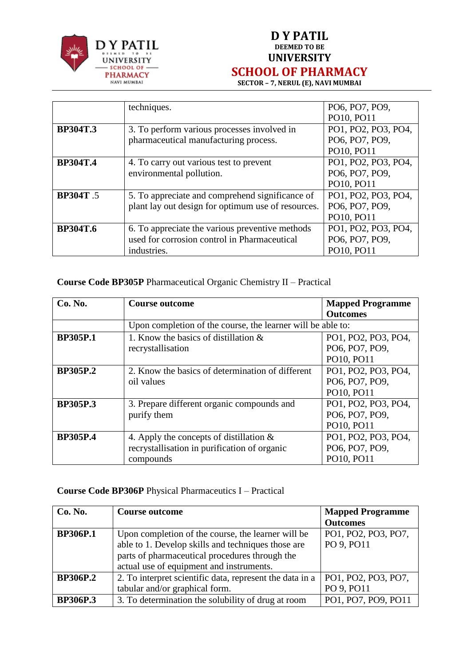

**SECTOR – 7, NERUL (E), NAVI MUMBAI**

|                  | techniques.                                        | PO6, PO7, PO9,      |
|------------------|----------------------------------------------------|---------------------|
|                  |                                                    | PO10, PO11          |
| <b>BP304T.3</b>  | 3. To perform various processes involved in        | PO1, PO2, PO3, PO4, |
|                  | pharmaceutical manufacturing process.              | PO6, PO7, PO9,      |
|                  |                                                    | PO10, PO11          |
| <b>BP304T.4</b>  | 4. To carry out various test to prevent            | PO1, PO2, PO3, PO4, |
|                  | environmental pollution.                           | PO6, PO7, PO9,      |
|                  |                                                    | PO10, PO11          |
| <b>BP304T</b> .5 | 5. To appreciate and comprehend significance of    | PO1, PO2, PO3, PO4, |
|                  | plant lay out design for optimum use of resources. | PO6, PO7, PO9,      |
|                  |                                                    | PO10, PO11          |
| <b>BP304T.6</b>  | 6. To appreciate the various preventive methods    | PO1, PO2, PO3, PO4, |
|                  | used for corrosion control in Pharmaceutical       | PO6, PO7, PO9,      |
|                  | industries.                                        | PO10, PO11          |

# **Course Code BP305P** Pharmaceutical Organic Chemistry II – Practical

| Co. No.         | <b>Course outcome</b>                                                                                   | <b>Mapped Programme</b><br><b>Outcomes</b>          |
|-----------------|---------------------------------------------------------------------------------------------------------|-----------------------------------------------------|
|                 | Upon completion of the course, the learner will be able to:                                             |                                                     |
| <b>BP305P.1</b> | 1. Know the basics of distillation $\&$<br>recrystallisation                                            | PO1, PO2, PO3, PO4,<br>PO6, PO7, PO9,<br>PO10, PO11 |
| <b>BP305P.2</b> | 2. Know the basics of determination of different<br>oil values                                          | PO1, PO2, PO3, PO4,<br>PO6, PO7, PO9,<br>PO10, PO11 |
| <b>BP305P.3</b> | 3. Prepare different organic compounds and<br>purify them                                               | PO1, PO2, PO3, PO4,<br>PO6, PO7, PO9,<br>PO10, PO11 |
| <b>BP305P.4</b> | 4. Apply the concepts of distillation $\&$<br>recrystallisation in purification of organic<br>compounds | PO1, PO2, PO3, PO4,<br>PO6, PO7, PO9,<br>PO10, PO11 |

# **Course Code BP306P** Physical Pharmaceutics I – Practical

| Co. No.         | <b>Course outcome</b>                                    | <b>Mapped Programme</b> |
|-----------------|----------------------------------------------------------|-------------------------|
|                 |                                                          | <b>Outcomes</b>         |
| <b>BP306P.1</b> | Upon completion of the course, the learner will be       | PO1, PO2, PO3, PO7,     |
|                 | able to 1. Develop skills and techniques those are       | PO 9, PO11              |
|                 | parts of pharmaceutical procedures through the           |                         |
|                 | actual use of equipment and instruments.                 |                         |
| <b>BP306P.2</b> | 2. To interpret scientific data, represent the data in a | PO1, PO2, PO3, PO7,     |
|                 | tabular and/or graphical form.                           | PO 9, PO11              |
| <b>BP306P.3</b> | 3. To determination the solubility of drug at room       | PO1, PO7, PO9, PO11     |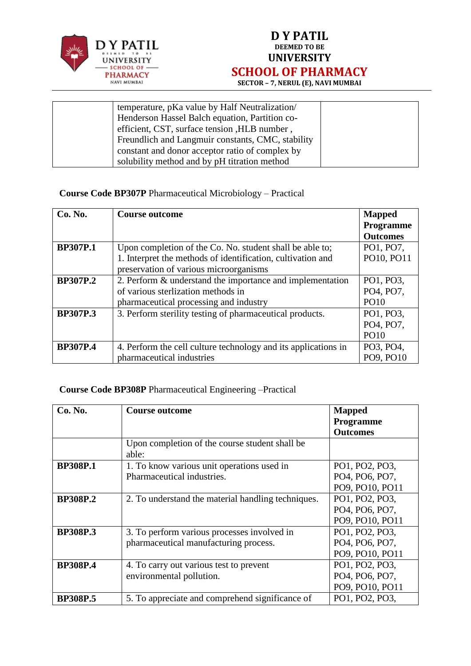



| temperature, pKa value by Half Neutralization     |  |
|---------------------------------------------------|--|
| Henderson Hassel Balch equation, Partition co-    |  |
| efficient, CST, surface tension, HLB number,      |  |
| Freundlich and Langmuir constants, CMC, stability |  |
| constant and donor acceptor ratio of complex by   |  |
| solubility method and by pH titration method      |  |

# **Course Code BP307P** Pharmaceutical Microbiology – Practical

| Co. No.         | <b>Course outcome</b>                                          | <b>Mapped</b>   |
|-----------------|----------------------------------------------------------------|-----------------|
|                 |                                                                | Programme       |
|                 |                                                                | <b>Outcomes</b> |
| <b>BP307P.1</b> | Upon completion of the Co. No. student shall be able to;       | PO1, PO7,       |
|                 | 1. Interpret the methods of identification, cultivation and    | PO10, PO11      |
|                 | preservation of various microorganisms                         |                 |
| <b>BP307P.2</b> | 2. Perform & understand the importance and implementation      | PO1, PO3,       |
|                 | of various sterlization methods in                             | PO4, PO7,       |
|                 | pharmaceutical processing and industry                         | <b>PO10</b>     |
| <b>BP307P.3</b> | 3. Perform sterility testing of pharmaceutical products.       | PO1, PO3,       |
|                 |                                                                | PO4, PO7,       |
|                 |                                                                | <b>PO10</b>     |
| <b>BP307P.4</b> | 4. Perform the cell culture technology and its applications in | PO3, PO4,       |
|                 | pharmaceutical industries                                      | PO9, PO10       |

# **Course Code BP308P** Pharmaceutical Engineering –Practical

| <b>Co. No.</b>  | <b>Course outcome</b>                              | <b>Mapped</b>   |
|-----------------|----------------------------------------------------|-----------------|
|                 |                                                    | Programme       |
|                 |                                                    | <b>Outcomes</b> |
|                 | Upon completion of the course student shall be     |                 |
|                 | able:                                              |                 |
| <b>BP308P.1</b> | 1. To know various unit operations used in         | PO1, PO2, PO3,  |
|                 | Pharmaceutical industries.                         | PO4, PO6, PO7,  |
|                 |                                                    | PO9, PO10, PO11 |
| <b>BP308P.2</b> | 2. To understand the material handling techniques. | PO1, PO2, PO3,  |
|                 |                                                    | PO4, PO6, PO7,  |
|                 |                                                    | PO9, PO10, PO11 |
| <b>BP308P.3</b> | 3. To perform various processes involved in        | PO1, PO2, PO3,  |
|                 | pharmaceutical manufacturing process.              | PO4, PO6, PO7,  |
|                 |                                                    | PO9, PO10, PO11 |
| <b>BP308P.4</b> | 4. To carry out various test to prevent            | PO1, PO2, PO3,  |
|                 | environmental pollution.                           | PO4, PO6, PO7,  |
|                 |                                                    | PO9, PO10, PO11 |
| <b>BP308P.5</b> | 5. To appreciate and comprehend significance of    | PO1, PO2, PO3,  |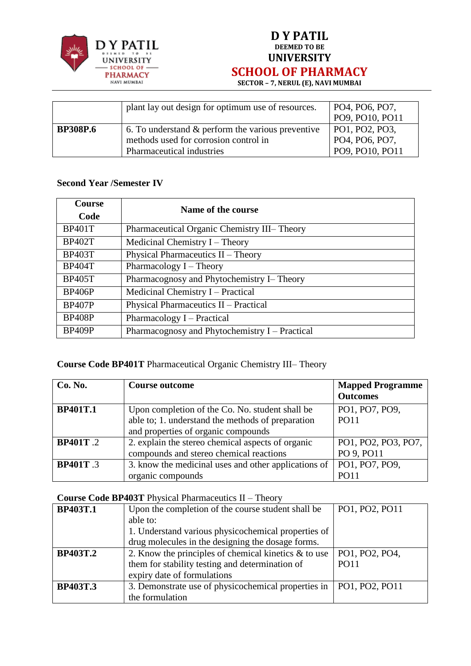



|                 | plant lay out design for optimum use of resources.   | PO4, PO6, PO7,  |
|-----------------|------------------------------------------------------|-----------------|
|                 |                                                      | PO9, PO10, PO11 |
| <b>BP308P.6</b> | 6. To understand $\&$ perform the various preventive | PO1, PO2, PO3,  |
|                 | methods used for corrosion control in                | PO4, PO6, PO7,  |
|                 | Pharmaceutical industries                            | PO9, PO10, PO11 |

#### **Second Year /Semester IV**

| <b>Course</b><br>Code | Name of the course                             |
|-----------------------|------------------------------------------------|
| <b>BP401T</b>         | Pharmaceutical Organic Chemistry III- Theory   |
| <b>BP402T</b>         | Medicinal Chemistry $I - Theory$               |
| <b>BP403T</b>         | Physical Pharmaceutics $II$ – Theory           |
| <b>BP404T</b>         | Pharmacology $I$ – Theory                      |
| <b>BP405T</b>         | Pharmacognosy and Phytochemistry I- Theory     |
| <b>BP406P</b>         | Medicinal Chemistry I – Practical              |
| <b>BP407P</b>         | Physical Pharmaceutics II - Practical          |
| <b>BP408P</b>         | Pharmacology I – Practical                     |
| <b>BP409P</b>         | Pharmacognosy and Phytochemistry I – Practical |

# **Course Code BP401T** Pharmaceutical Organic Chemistry III– Theory

| Co. No.         | <b>Course outcome</b>                                | <b>Mapped Programme</b> |
|-----------------|------------------------------------------------------|-------------------------|
|                 |                                                      | <b>Outcomes</b>         |
| <b>BP401T.1</b> | Upon completion of the Co. No. student shall be      | PO1, PO7, PO9,          |
|                 | able to; 1. understand the methods of preparation    | <b>PO11</b>             |
|                 | and properties of organic compounds                  |                         |
| <b>BP401T.2</b> | 2. explain the stereo chemical aspects of organic    | PO1, PO2, PO3, PO7,     |
|                 | compounds and stereo chemical reactions              | PO 9, PO11              |
| <b>BP401T.3</b> | 3. know the medicinal uses and other applications of | PO1, PO7, PO9,          |
|                 | organic compounds                                    | <b>PO11</b>             |

### **Course Code BP403T** Physical Pharmaceutics II – Theory

| <b>BP403T.1</b> | Upon the completion of the course student shall be      | PO1, PO2, PO11 |
|-----------------|---------------------------------------------------------|----------------|
|                 | able to:                                                |                |
|                 | 1. Understand various physicochemical properties of     |                |
|                 | drug molecules in the designing the dosage forms.       |                |
| <b>BP403T.2</b> | 2. Know the principles of chemical kinetics $\&$ to use | PO1, PO2, PO4, |
|                 | them for stability testing and determination of         | <b>PO11</b>    |
|                 | expiry date of formulations                             |                |
| <b>BP403T.3</b> | 3. Demonstrate use of physicochemical properties in     | PO1, PO2, PO11 |
|                 | the formulation                                         |                |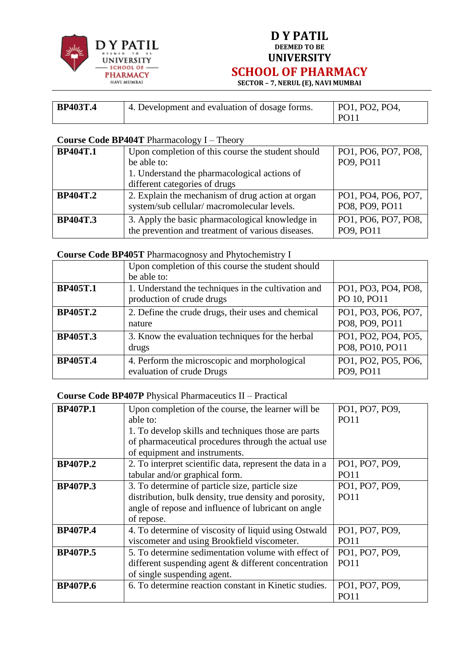



**SECTOR – 7, NERUL (E), NAVI MUMBAI**

| <b>BP403T.4</b> | 4. Development and evaluation of dosage forms. | PO1, PO2, PO4, |
|-----------------|------------------------------------------------|----------------|
|                 |                                                | P()11          |

#### **Course Code BP404T** Pharmacology I – Theory

| <b>BP404T.1</b> | Upon completion of this course the student should | PO1, PO6, PO7, PO8, |
|-----------------|---------------------------------------------------|---------------------|
|                 | be able to:                                       | PO9, PO11           |
|                 | 1. Understand the pharmacological actions of      |                     |
|                 | different categories of drugs                     |                     |
| <b>BP404T.2</b> | 2. Explain the mechanism of drug action at organ  | PO1, PO4, PO6, PO7, |
|                 | system/sub cellular/ macromolecular levels.       | PO8, PO9, PO11      |
| <b>BP404T.3</b> | 3. Apply the basic pharmacological knowledge in   | PO1, PO6, PO7, PO8, |
|                 | the prevention and treatment of various diseases. | PO9, PO11           |

#### **Course Code BP405T** Pharmacognosy and Phytochemistry I

|                 | Upon completion of this course the student should<br>be able to:                 |                                        |
|-----------------|----------------------------------------------------------------------------------|----------------------------------------|
| <b>BP405T.1</b> | 1. Understand the techniques in the cultivation and<br>production of crude drugs | PO1, PO3, PO4, PO8,<br>PO 10, PO11     |
| <b>BP405T.2</b> | 2. Define the crude drugs, their uses and chemical<br>nature                     | PO1, PO3, PO6, PO7,<br>PO8, PO9, PO11  |
| <b>BP405T.3</b> | 3. Know the evaluation techniques for the herbal<br>drugs                        | PO1, PO2, PO4, PO5,<br>PO8, PO10, PO11 |
| <b>BP405T.4</b> | 4. Perform the microscopic and morphological<br>evaluation of crude Drugs        | PO1, PO2, PO5, PO6,<br>PO9, PO11       |

### **Course Code BP407P** Physical Pharmaceutics II – Practical

| <b>BP407P.1</b> | Upon completion of the course, the learner will be       | PO1, PO7, PO9, |
|-----------------|----------------------------------------------------------|----------------|
|                 | able to:                                                 | <b>PO11</b>    |
|                 | 1. To develop skills and techniques those are parts      |                |
|                 | of pharmaceutical procedures through the actual use      |                |
|                 | of equipment and instruments.                            |                |
| <b>BP407P.2</b> | 2. To interpret scientific data, represent the data in a | PO1, PO7, PO9, |
|                 | tabular and/or graphical form.                           | <b>PO11</b>    |
| <b>BP407P.3</b> | 3. To determine of particle size, particle size          | PO1, PO7, PO9, |
|                 | distribution, bulk density, true density and porosity,   | <b>PO11</b>    |
|                 | angle of repose and influence of lubricant on angle      |                |
|                 | of repose.                                               |                |
| <b>BP407P.4</b> | 4. To determine of viscosity of liquid using Ostwald     | PO1, PO7, PO9, |
|                 | viscometer and using Brookfield viscometer.              | <b>PO11</b>    |
| <b>BP407P.5</b> | 5. To determine sedimentation volume with effect of      | PO1, PO7, PO9, |
|                 | different suspending agent $\&$ different concentration  | <b>PO11</b>    |
|                 | of single suspending agent.                              |                |
| <b>BP407P.6</b> | 6. To determine reaction constant in Kinetic studies.    | PO1, PO7, PO9, |
|                 |                                                          | <b>PO11</b>    |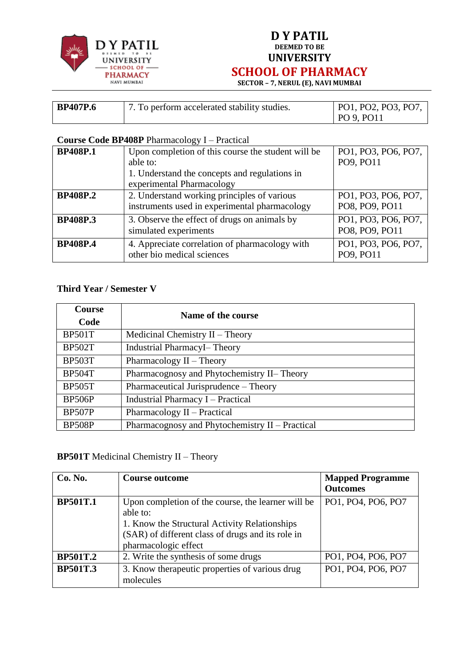



**SECTOR – 7, NERUL (E), NAVI MUMBAI**

| <b>BP407P.6</b> | 7. To perform accelerated stability studies. | PO1, PO2, PO3, PO7, |
|-----------------|----------------------------------------------|---------------------|
|                 |                                              | PO 9, PO11          |

#### **Course Code BP408P** Pharmacology I – Practical

| <b>BP408P.1</b> | Upon completion of this course the student will be | PO1, PO3, PO6, PO7, |
|-----------------|----------------------------------------------------|---------------------|
|                 | able to:                                           | PO9, PO11           |
|                 | 1. Understand the concepts and regulations in      |                     |
|                 | experimental Pharmacology                          |                     |
| <b>BP408P.2</b> | 2. Understand working principles of various        | PO1, PO3, PO6, PO7, |
|                 | instruments used in experimental pharmacology      | PO8, PO9, PO11      |
| <b>BP408P.3</b> | 3. Observe the effect of drugs on animals by       | PO1, PO3, PO6, PO7, |
|                 | simulated experiments                              | PO8, PO9, PO11      |
| <b>BP408P.4</b> | 4. Appreciate correlation of pharmacology with     | PO1, PO3, PO6, PO7, |
|                 | other bio medical sciences                         | PO9, PO11           |
|                 |                                                    |                     |

### **Third Year / Semester V**

| Course<br>Code | Name of the course                              |
|----------------|-------------------------------------------------|
| <b>BP501T</b>  | Medicinal Chemistry $II$ – Theory               |
| <b>BP502T</b>  | <b>Industrial PharmacyI-Theory</b>              |
| <b>BP503T</b>  | Pharmacology $II$ – Theory                      |
| <b>BP504T</b>  | Pharmacognosy and Phytochemistry II-Theory      |
| <b>BP505T</b>  | Pharmaceutical Jurisprudence – Theory           |
| BP506P         | Industrial Pharmacy I - Practical               |
| <b>BP507P</b>  | Pharmacology II – Practical                     |
| <b>BP508P</b>  | Pharmacognosy and Phytochemistry II – Practical |

# **BP501T** Medicinal Chemistry II – Theory

| Co. No.         | <b>Course outcome</b>                              | <b>Mapped Programme</b> |
|-----------------|----------------------------------------------------|-------------------------|
|                 |                                                    | <b>Outcomes</b>         |
| <b>BP501T.1</b> | Upon completion of the course, the learner will be | PO1, PO4, PO6, PO7      |
|                 | able to:                                           |                         |
|                 | 1. Know the Structural Activity Relationships      |                         |
|                 | (SAR) of different class of drugs and its role in  |                         |
|                 | pharmacologic effect                               |                         |
| <b>BP501T.2</b> | 2. Write the synthesis of some drugs               | PO1, PO4, PO6, PO7      |
| <b>BP501T.3</b> | 3. Know therapeutic properties of various drug     | PO1, PO4, PO6, PO7      |
|                 | molecules                                          |                         |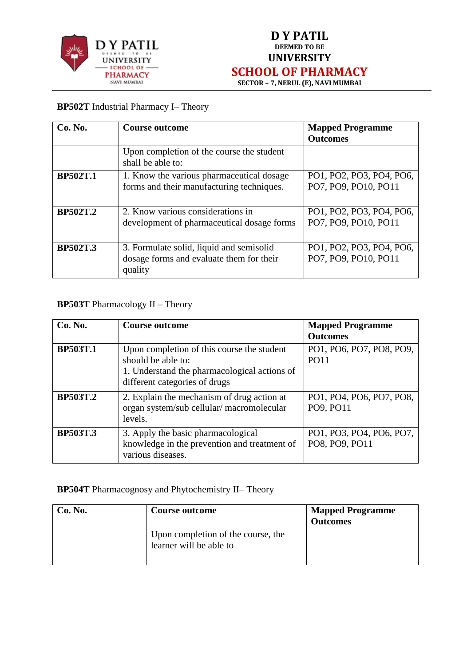



# **BP502T** Industrial Pharmacy I– Theory

| Co. No.         | Course outcome                                                                                  | <b>Mapped Programme</b><br><b>Outcomes</b>       |
|-----------------|-------------------------------------------------------------------------------------------------|--------------------------------------------------|
|                 | Upon completion of the course the student<br>shall be able to:                                  |                                                  |
| <b>BP502T.1</b> | 1. Know the various pharmaceutical dosage<br>forms and their manufacturing techniques.          | PO1, PO2, PO3, PO4, PO6,<br>PO7, PO9, PO10, PO11 |
| <b>BP502T.2</b> | 2. Know various considerations in<br>development of pharmaceutical dosage forms                 | PO1, PO2, PO3, PO4, PO6,<br>PO7, PO9, PO10, PO11 |
| <b>BP502T.3</b> | 3. Formulate solid, liquid and semisolid<br>dosage forms and evaluate them for their<br>quality | PO1, PO2, PO3, PO4, PO6,<br>PO7, PO9, PO10, PO11 |

# **BP503T** Pharmacology II – Theory

| Co. No.         | <b>Course outcome</b>                                                                                                                             | <b>Mapped Programme</b><br><b>Outcomes</b> |
|-----------------|---------------------------------------------------------------------------------------------------------------------------------------------------|--------------------------------------------|
| <b>BP503T.1</b> | Upon completion of this course the student<br>should be able to:<br>1. Understand the pharmacological actions of<br>different categories of drugs | PO1, PO6, PO7, PO8, PO9,<br><b>PO11</b>    |
| <b>BP503T.2</b> | 2. Explain the mechanism of drug action at<br>organ system/sub cellular/ macromolecular<br>levels.                                                | PO1, PO4, PO6, PO7, PO8,<br>PO9, PO11      |
| <b>BP503T.3</b> | 3. Apply the basic pharmacological<br>knowledge in the prevention and treatment of<br>various diseases.                                           | PO1, PO3, PO4, PO6, PO7,<br>PO8, PO9, PO11 |

### **BP504T** Pharmacognosy and Phytochemistry II– Theory

| Co. No. | <b>Course outcome</b>                                         | <b>Mapped Programme</b><br><b>Outcomes</b> |
|---------|---------------------------------------------------------------|--------------------------------------------|
|         | Upon completion of the course, the<br>learner will be able to |                                            |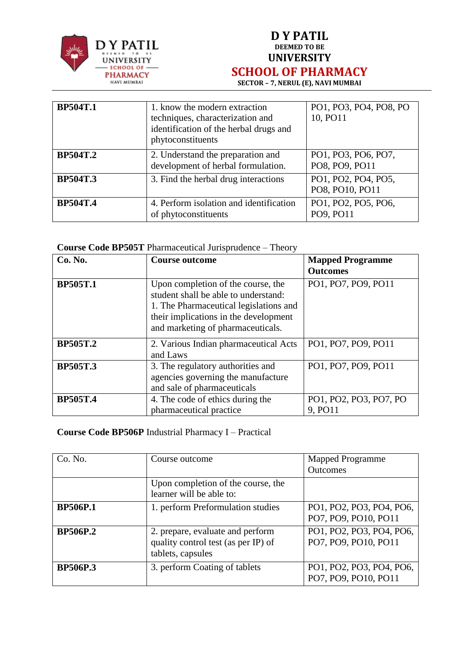



**SECTOR – 7, NERUL (E), NAVI MUMBAI**

| <b>BP504T.1</b> | 1. know the modern extraction<br>techniques, characterization and<br>identification of the herbal drugs and<br>phytoconstituents | PO1, PO3, PO4, PO8, PO<br>10, PO11     |
|-----------------|----------------------------------------------------------------------------------------------------------------------------------|----------------------------------------|
| <b>BP504T.2</b> | 2. Understand the preparation and<br>development of herbal formulation.                                                          | PO1, PO3, PO6, PO7,<br>PO8, PO9, PO11  |
| <b>BP504T.3</b> | 3. Find the herbal drug interactions                                                                                             | PO1, PO2, PO4, PO5,<br>PO8, PO10, PO11 |
| <b>BP504T.4</b> | 4. Perform isolation and identification<br>of phytoconstituents                                                                  | PO1, PO2, PO5, PO6,<br>PO9, PO11       |

### **Course Code BP505T** Pharmaceutical Jurisprudence – Theory

| Co. No.         | <b>Course outcome</b>                                                                                                                                                                              | <b>Mapped Programme</b><br><b>Outcomes</b> |
|-----------------|----------------------------------------------------------------------------------------------------------------------------------------------------------------------------------------------------|--------------------------------------------|
| <b>BP505T.1</b> | Upon completion of the course, the<br>student shall be able to understand:<br>1. The Pharmaceutical legislations and<br>their implications in the development<br>and marketing of pharmaceuticals. | PO1, PO7, PO9, PO11                        |
| <b>BP505T.2</b> | 2. Various Indian pharmaceutical Acts<br>and Laws                                                                                                                                                  | PO1, PO7, PO9, PO11                        |
| <b>BP505T.3</b> | 3. The regulatory authorities and<br>agencies governing the manufacture<br>and sale of pharmaceuticals                                                                                             | PO1, PO7, PO9, PO11                        |
| <b>BP505T.4</b> | 4. The code of ethics during the<br>pharmaceutical practice                                                                                                                                        | PO1, PO2, PO3, PO7, PO<br>9, PO11          |

# **Course Code BP506P** Industrial Pharmacy I – Practical

| Co. No.         | Course outcome                                                                               | <b>Mapped Programme</b><br><b>Outcomes</b>       |
|-----------------|----------------------------------------------------------------------------------------------|--------------------------------------------------|
|                 | Upon completion of the course, the<br>learner will be able to:                               |                                                  |
| <b>BP506P.1</b> | 1. perform Preformulation studies                                                            | PO1, PO2, PO3, PO4, PO6,<br>PO7, PO9, PO10, PO11 |
| <b>BP506P.2</b> | 2. prepare, evaluate and perform<br>quality control test (as per IP) of<br>tablets, capsules | PO1, PO2, PO3, PO4, PO6,<br>PO7, PO9, PO10, PO11 |
| <b>BP506P.3</b> | 3. perform Coating of tablets                                                                | PO1, PO2, PO3, PO4, PO6,<br>PO7, PO9, PO10, PO11 |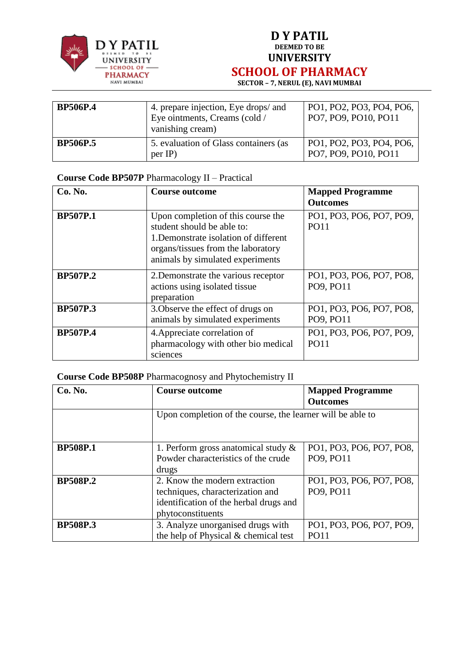

**SECTOR – 7, NERUL (E), NAVI MUMBAI**

| <b>BP506P.4</b> | 4. prepare injection, Eye drops/ and<br>Eye ointments, Creams (cold /<br>vanishing cream) | PO1, PO2, PO3, PO4, PO6,<br>PO7, PO9, PO10, PO11 |
|-----------------|-------------------------------------------------------------------------------------------|--------------------------------------------------|
| <b>BP506P.5</b> | 5. evaluation of Glass containers (as<br>$per IP$ )                                       | PO1, PO2, PO3, PO4, PO6,<br>PO7, PO9, PO10, PO11 |

### **Course Code BP507P** Pharmacology II – Practical

| <b>Co. No.</b>  | <b>Course outcome</b>                                                                                                                                                               | <b>Mapped Programme</b><br><b>Outcomes</b> |
|-----------------|-------------------------------------------------------------------------------------------------------------------------------------------------------------------------------------|--------------------------------------------|
| <b>BP507P.1</b> | Upon completion of this course the<br>student should be able to:<br>1. Demonstrate isolation of different<br>organs/tissues from the laboratory<br>animals by simulated experiments | PO1, PO3, PO6, PO7, PO9,<br><b>PO11</b>    |
| <b>BP507P.2</b> | 2. Demonstrate the various receptor<br>actions using isolated tissue<br>preparation                                                                                                 | PO1, PO3, PO6, PO7, PO8,<br>PO9, PO11      |
| <b>BP507P.3</b> | 3. Observe the effect of drugs on<br>animals by simulated experiments                                                                                                               | PO1, PO3, PO6, PO7, PO8,<br>PO9, PO11      |
| <b>BP507P.4</b> | 4. Appreciate correlation of<br>pharmacology with other bio medical<br>sciences                                                                                                     | PO1, PO3, PO6, PO7, PO9,<br><b>PO11</b>    |

## **Course Code BP508P** Pharmacognosy and Phytochemistry II

| Co. No.         | <b>Course outcome</b>                                                                                                            | <b>Mapped Programme</b><br><b>Outcomes</b> |
|-----------------|----------------------------------------------------------------------------------------------------------------------------------|--------------------------------------------|
|                 | Upon completion of the course, the learner will be able to                                                                       |                                            |
| <b>BP508P.1</b> | 1. Perform gross anatomical study $\&$<br>Powder characteristics of the crude<br>drugs                                           | PO1, PO3, PO6, PO7, PO8,<br>PO9, PO11      |
| <b>BP508P.2</b> | 2. Know the modern extraction<br>techniques, characterization and<br>identification of the herbal drugs and<br>phytoconstituents | PO1, PO3, PO6, PO7, PO8,<br>PO9, PO11      |
| <b>BP508P.3</b> | 3. Analyze unorganised drugs with<br>the help of Physical & chemical test                                                        | PO1, PO3, PO6, PO7, PO9,<br><b>PO11</b>    |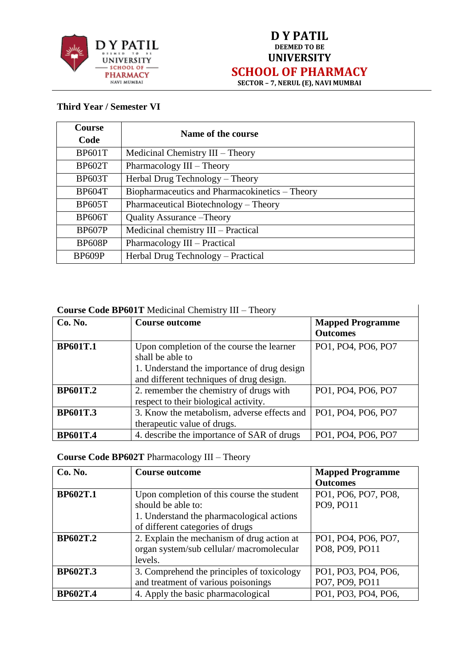



 $\overline{1}$ 

### **Third Year / Semester VI**

| <b>Course</b> | Name of the course                             |
|---------------|------------------------------------------------|
| Code          |                                                |
| <b>BP601T</b> | Medicinal Chemistry III – Theory               |
| <b>BP602T</b> | Pharmacology III - Theory                      |
| <b>BP603T</b> | Herbal Drug Technology – Theory                |
| <b>BP604T</b> | Biopharmaceutics and Pharmacokinetics – Theory |
| <b>BP605T</b> | Pharmaceutical Biotechnology – Theory          |
| <b>BP606T</b> | <b>Quality Assurance – Theory</b>              |
| <b>BP607P</b> | Medicinal chemistry III - Practical            |
| <b>BP608P</b> | Pharmacology III - Practical                   |
| <b>BP609P</b> | Herbal Drug Technology – Practical             |

#### **Course Code BP601T** Medicinal Chemistry III – Theory

| Course Couc DI ours incurring Chemistry III<br>11001 |                                             |                         |
|------------------------------------------------------|---------------------------------------------|-------------------------|
| Co. No.                                              | <b>Course outcome</b>                       | <b>Mapped Programme</b> |
|                                                      |                                             | <b>Outcomes</b>         |
| <b>BP601T.1</b>                                      | Upon completion of the course the learner   | PO1, PO4, PO6, PO7      |
|                                                      | shall be able to                            |                         |
|                                                      | 1. Understand the importance of drug design |                         |
|                                                      | and different techniques of drug design.    |                         |
| <b>BP601T.2</b>                                      | 2. remember the chemistry of drugs with     | PO1, PO4, PO6, PO7      |
|                                                      | respect to their biological activity.       |                         |
| <b>BP601T.3</b>                                      | 3. Know the metabolism, adverse effects and | PO1, PO4, PO6, PO7      |
|                                                      | therapeutic value of drugs.                 |                         |
| <b>BP601T.4</b>                                      | 4. describe the importance of SAR of drugs  | PO1, PO4, PO6, PO7      |

**Course Code BP602T** Pharmacology III – Theory

| Co. No.         | <b>Course outcome</b>                      | <b>Mapped Programme</b> |
|-----------------|--------------------------------------------|-------------------------|
|                 |                                            | <b>Outcomes</b>         |
| <b>BP602T.1</b> | Upon completion of this course the student | PO1, PO6, PO7, PO8,     |
|                 | should be able to:                         | PO9, PO11               |
|                 | 1. Understand the pharmacological actions  |                         |
|                 | of different categories of drugs           |                         |
| <b>BP602T.2</b> | 2. Explain the mechanism of drug action at | PO1, PO4, PO6, PO7,     |
|                 | organ system/sub cellular/ macromolecular  | PO8, PO9, PO11          |
|                 | levels.                                    |                         |
| <b>BP602T.3</b> | 3. Comprehend the principles of toxicology | PO1, PO3, PO4, PO6,     |
|                 | and treatment of various poisonings        | PO7, PO9, PO11          |
| <b>BP602T.4</b> | 4. Apply the basic pharmacological         | PO1, PO3, PO4, PO6,     |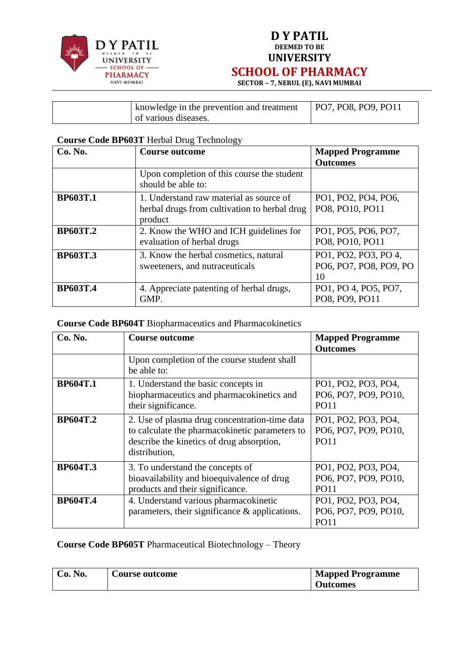



| knowledge in the prevention and treatment | PO7, PO8, PO9, PO11 |
|-------------------------------------------|---------------------|
| of various diseases.                      |                     |

#### **Course Code BP603T** Herbal Drug Technology

| Co. No.         | <b>Course outcome</b>                                                                              | <b>Mapped Programme</b>                             |
|-----------------|----------------------------------------------------------------------------------------------------|-----------------------------------------------------|
|                 |                                                                                                    | <b>Outcomes</b>                                     |
|                 | Upon completion of this course the student<br>should be able to:                                   |                                                     |
| <b>BP603T.1</b> | 1. Understand raw material as source of<br>herbal drugs from cultivation to herbal drug<br>product | PO1, PO2, PO4, PO6,<br>PO8, PO10, PO11              |
| <b>BP603T.2</b> | 2. Know the WHO and ICH guidelines for<br>evaluation of herbal drugs                               | PO1, PO5, PO6, PO7,<br>PO8, PO10, PO11              |
| <b>BP603T.3</b> | 3. Know the herbal cosmetics, natural<br>sweeteners, and nutraceuticals                            | PO1, PO2, PO3, PO4,<br>PO6, PO7, PO8, PO9, PO<br>10 |
| <b>BP603T.4</b> | 4. Appreciate patenting of herbal drugs,<br>GMP.                                                   | PO1, PO 4, PO5, PO7,<br>PO8, PO9, PO11              |

#### **Course Code BP604T** Biopharmaceutics and Pharmacokinetics

| Co. No.         | <b>Course outcome</b>                                                                                                                                         | <b>Mapped Programme</b><br><b>Outcomes</b>                 |
|-----------------|---------------------------------------------------------------------------------------------------------------------------------------------------------------|------------------------------------------------------------|
|                 | Upon completion of the course student shall<br>be able to:                                                                                                    |                                                            |
| <b>BP604T.1</b> | 1. Understand the basic concepts in<br>biopharmaceutics and pharmacokinetics and<br>their significance.                                                       | PO1, PO2, PO3, PO4,<br>PO6, PO7, PO9, PO10,<br><b>PO11</b> |
| <b>BP604T.2</b> | 2. Use of plasma drug concentration-time data<br>to calculate the pharmacokinetic parameters to<br>describe the kinetics of drug absorption,<br>distribution, | PO1, PO2, PO3, PO4,<br>PO6, PO7, PO9, PO10,<br><b>PO11</b> |
| <b>BP604T.3</b> | 3. To understand the concepts of<br>bioavailability and bioequivalence of drug<br>products and their significance.                                            | PO1, PO2, PO3, PO4,<br>PO6, PO7, PO9, PO10,<br><b>PO11</b> |
| <b>BP604T.4</b> | 4. Understand various pharmacokinetic<br>parameters, their significance $\&$ applications.                                                                    | PO1, PO2, PO3, PO4,<br>PO6, PO7, PO9, PO10,<br><b>PO11</b> |

# **Course Code BP605T** Pharmaceutical Biotechnology – Theory

| Co. No. | <b>Course outcome</b> | <b>Mapped Programme</b> |
|---------|-----------------------|-------------------------|
|         |                       | <b>Outcomes</b>         |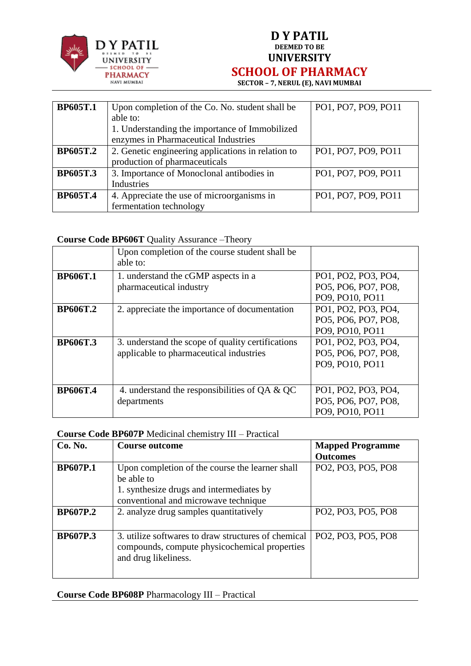

**SECTOR – 7, NERUL (E), NAVI MUMBAI**

| <b>BP605T.1</b> | Upon completion of the Co. No. student shall be    | PO1, PO7, PO9, PO11 |
|-----------------|----------------------------------------------------|---------------------|
|                 | able to:                                           |                     |
|                 | 1. Understanding the importance of Immobilized     |                     |
|                 | enzymes in Pharmaceutical Industries               |                     |
| <b>BP605T.2</b> | 2. Genetic engineering applications in relation to | PO1, PO7, PO9, PO11 |
|                 | production of pharmaceuticals                      |                     |
| <b>BP605T.3</b> | 3. Importance of Monoclonal antibodies in          | PO1, PO7, PO9, PO11 |
|                 | Industries                                         |                     |
| <b>BP605T.4</b> | 4. Appreciate the use of microorganisms in         | PO1, PO7, PO9, PO11 |
|                 | fermentation technology                            |                     |

### **Course Code BP606T** Quality Assurance –Theory

|                 | Upon completion of the course student shall be<br>able to: |                     |
|-----------------|------------------------------------------------------------|---------------------|
|                 |                                                            |                     |
| <b>BP606T.1</b> | 1. understand the cGMP aspects in a                        | PO1, PO2, PO3, PO4, |
|                 | pharmaceutical industry                                    | PO5, PO6, PO7, PO8, |
|                 |                                                            | PO9, PO10, PO11     |
| <b>BP606T.2</b> | 2. appreciate the importance of documentation              | PO1, PO2, PO3, PO4, |
|                 |                                                            | PO5, PO6, PO7, PO8, |
|                 |                                                            | PO9, PO10, PO11     |
| <b>BP606T.3</b> | 3. understand the scope of quality certifications          | PO1, PO2, PO3, PO4, |
|                 | applicable to pharmaceutical industries                    | PO5, PO6, PO7, PO8, |
|                 |                                                            | PO9, PO10, PO11     |
|                 |                                                            |                     |
| <b>BP606T.4</b> | 4. understand the responsibilities of QA & QC              | PO1, PO2, PO3, PO4, |
|                 | departments                                                | PO5, PO6, PO7, PO8, |
|                 |                                                            | PO9, PO10, PO11     |

**Course Code BP607P** Medicinal chemistry III – Practical

| PO2, PO3, PO5, PO8 |
|--------------------|
|                    |
|                    |
|                    |
|                    |
|                    |
| PO2, PO3, PO5, PO8 |
|                    |
| PO2, PO3, PO5, PO8 |
|                    |
|                    |
|                    |
|                    |

**Course Code BP608P** Pharmacology III – Practical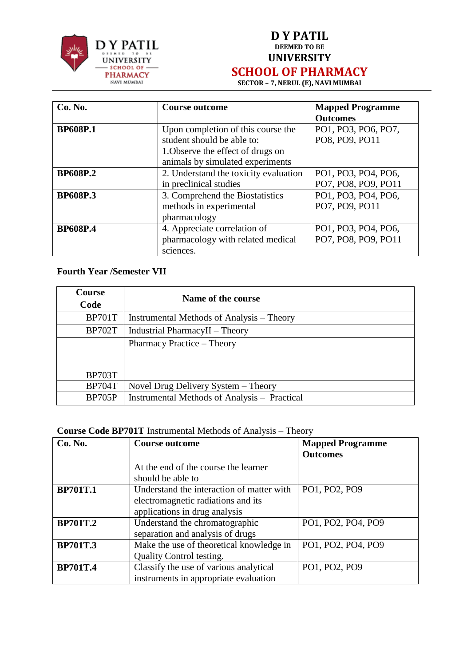

**SECTOR – 7, NERUL (E), NAVI MUMBAI**

| Co. No.         | <b>Course outcome</b>                 | <b>Mapped Programme</b> |
|-----------------|---------------------------------------|-------------------------|
|                 |                                       | <b>Outcomes</b>         |
| <b>BP608P.1</b> | Upon completion of this course the    | PO1, PO3, PO6, PO7,     |
|                 | student should be able to:            | PO8, PO9, PO11          |
|                 | 1. Observe the effect of drugs on     |                         |
|                 | animals by simulated experiments      |                         |
| <b>BP608P.2</b> | 2. Understand the toxicity evaluation | PO1, PO3, PO4, PO6,     |
|                 | in preclinical studies                | PO7, PO8, PO9, PO11     |
| <b>BP608P.3</b> | 3. Comprehend the Biostatistics       | PO1, PO3, PO4, PO6,     |
|                 | methods in experimental               | PO7, PO9, PO11          |
|                 | pharmacology                          |                         |
| <b>BP608P.4</b> | 4. Appreciate correlation of          | PO1, PO3, PO4, PO6,     |
|                 | pharmacology with related medical     | PO7, PO8, PO9, PO11     |
|                 | sciences.                             |                         |

### **Fourth Year /Semester VII**

| <b>Course</b> | Name of the course                           |
|---------------|----------------------------------------------|
| Code          |                                              |
| <b>BP701T</b> | Instrumental Methods of Analysis – Theory    |
| <b>BP702T</b> | Industrial PharmacyII - Theory               |
|               | Pharmacy Practice – Theory                   |
|               |                                              |
| <b>BP703T</b> |                                              |
|               |                                              |
| <b>BP704T</b> | Novel Drug Delivery System - Theory          |
| <b>BP705P</b> | Instrumental Methods of Analysis – Practical |

# **Course Code BP701T** Instrumental Methods of Analysis – Theory

| Co. No.         | <b>Course outcome</b>                                                                                            | <b>Mapped Programme</b><br><b>Outcomes</b> |
|-----------------|------------------------------------------------------------------------------------------------------------------|--------------------------------------------|
|                 | At the end of the course the learner<br>should be able to                                                        |                                            |
| <b>BP701T.1</b> | Understand the interaction of matter with<br>electromagnetic radiations and its<br>applications in drug analysis | PO1, PO2, PO9                              |
| <b>BP701T.2</b> | Understand the chromatographic<br>separation and analysis of drugs                                               | PO1, PO2, PO4, PO9                         |
| <b>BP701T.3</b> | Make the use of theoretical knowledge in<br><b>Quality Control testing.</b>                                      | PO1, PO2, PO4, PO9                         |
| <b>BP701T.4</b> | Classify the use of various analytical<br>instruments in appropriate evaluation                                  | PO1, PO2, PO9                              |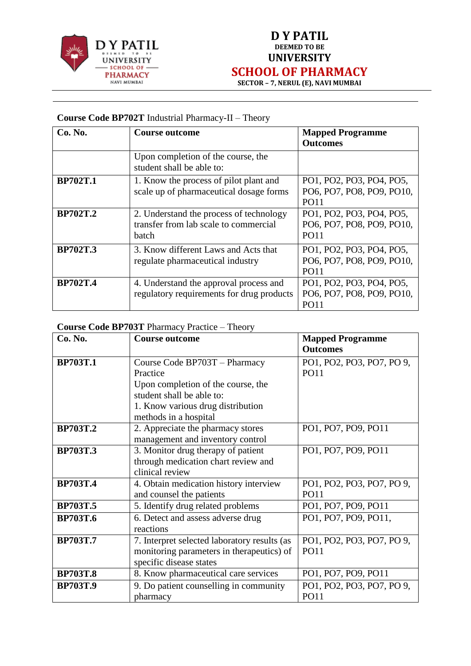



### **Course Code BP702T** Industrial Pharmacy-II – Theory

| Co. No.         | Course outcome                                                                            | <b>Mapped Programme</b>                                              |
|-----------------|-------------------------------------------------------------------------------------------|----------------------------------------------------------------------|
|                 |                                                                                           | <b>Outcomes</b>                                                      |
|                 | Upon completion of the course, the<br>student shall be able to:                           |                                                                      |
| <b>BP702T.1</b> | 1. Know the process of pilot plant and<br>scale up of pharmaceutical dosage forms         | PO1, PO2, PO3, PO4, PO5,<br>PO6, PO7, PO8, PO9, PO10,<br><b>PO11</b> |
| <b>BP702T.2</b> | 2. Understand the process of technology<br>transfer from lab scale to commercial<br>batch | PO1, PO2, PO3, PO4, PO5,<br>PO6, PO7, PO8, PO9, PO10,<br><b>PO11</b> |
| <b>BP702T.3</b> | 3. Know different Laws and Acts that<br>regulate pharmaceutical industry                  | PO1, PO2, PO3, PO4, PO5,<br>PO6, PO7, PO8, PO9, PO10,<br><b>PO11</b> |
| <b>BP702T.4</b> | 4. Understand the approval process and<br>regulatory requirements for drug products       | PO1, PO2, PO3, PO4, PO5,<br>PO6, PO7, PO8, PO9, PO10,<br><b>PO11</b> |

### **Course Code BP703T** Pharmacy Practice – Theory

| Co. No.         | <b>Course outcome</b>                        | <b>Mapped Programme</b>  |
|-----------------|----------------------------------------------|--------------------------|
|                 |                                              | <b>Outcomes</b>          |
| <b>BP703T.1</b> | Course Code BP703T - Pharmacy                | PO1, PO2, PO3, PO7, PO9, |
|                 | Practice                                     | <b>PO11</b>              |
|                 | Upon completion of the course, the           |                          |
|                 | student shall be able to:                    |                          |
|                 | 1. Know various drug distribution            |                          |
|                 | methods in a hospital                        |                          |
| <b>BP703T.2</b> | 2. Appreciate the pharmacy stores            | PO1, PO7, PO9, PO11      |
|                 | management and inventory control             |                          |
| <b>BP703T.3</b> | 3. Monitor drug therapy of patient           | PO1, PO7, PO9, PO11      |
|                 | through medication chart review and          |                          |
|                 | clinical review                              |                          |
| <b>BP703T.4</b> | 4. Obtain medication history interview       | PO1, PO2, PO3, PO7, PO9, |
|                 | and counsel the patients                     | <b>PO11</b>              |
| <b>BP703T.5</b> | 5. Identify drug related problems            | PO1, PO7, PO9, PO11      |
| <b>BP703T.6</b> | 6. Detect and assess adverse drug            | PO1, PO7, PO9, PO11,     |
|                 | reactions                                    |                          |
| <b>BP703T.7</b> | 7. Interpret selected laboratory results (as | PO1, PO2, PO3, PO7, PO9, |
|                 | monitoring parameters in therapeutics) of    | <b>PO11</b>              |
|                 | specific disease states                      |                          |
| <b>BP703T.8</b> | 8. Know pharmaceutical care services         | PO1, PO7, PO9, PO11      |
| <b>BP703T.9</b> | 9. Do patient counselling in community       | PO1, PO2, PO3, PO7, PO9, |
|                 | pharmacy                                     | <b>PO11</b>              |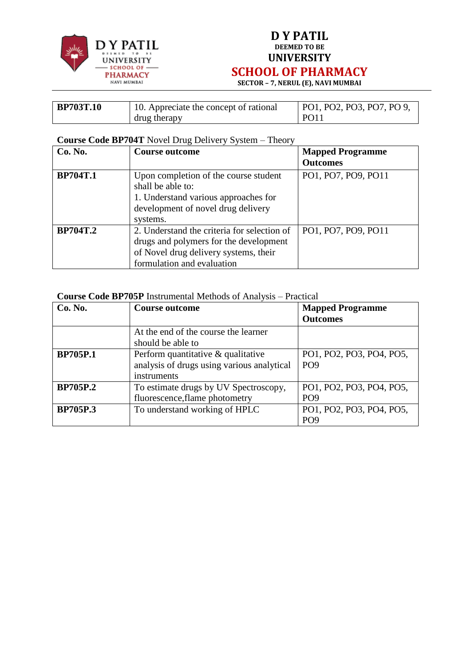



| <b>BP703T.10</b> | 10. Appreciate the concept of rational | PO1, PO2, PO3, PO7, PO9, |
|------------------|----------------------------------------|--------------------------|
|                  | drug therapy                           | PO <sub>11</sub>         |

#### **Course Code BP704T** Novel Drug Delivery System – Theory

| Co. No.         | <b>Course outcome</b>                                                                                                                                        | <b>Mapped Programme</b> |
|-----------------|--------------------------------------------------------------------------------------------------------------------------------------------------------------|-------------------------|
|                 |                                                                                                                                                              | <b>Outcomes</b>         |
| <b>BP704T.1</b> | Upon completion of the course student<br>shall be able to:<br>1. Understand various approaches for<br>development of novel drug delivery<br>systems.         | PO1, PO7, PO9, PO11     |
| <b>BP704T.2</b> | 2. Understand the criteria for selection of<br>drugs and polymers for the development<br>of Novel drug delivery systems, their<br>formulation and evaluation | PO1, PO7, PO9, PO11     |

### **Course Code BP705P** Instrumental Methods of Analysis – Practical

| Co. No.         | <b>Course outcome</b>                                                                           | <b>Mapped Programme</b><br><b>Outcomes</b>  |
|-----------------|-------------------------------------------------------------------------------------------------|---------------------------------------------|
|                 | At the end of the course the learner<br>should be able to                                       |                                             |
| <b>BP705P.1</b> | Perform quantitative & qualitative<br>analysis of drugs using various analytical<br>instruments | PO1, PO2, PO3, PO4, PO5,<br>PO <sub>9</sub> |
| <b>BP705P.2</b> | To estimate drugs by UV Spectroscopy,<br>fluorescence, flame photometry                         | PO1, PO2, PO3, PO4, PO5,<br>PO <sub>9</sub> |
| <b>BP705P.3</b> | To understand working of HPLC                                                                   | PO1, PO2, PO3, PO4, PO5,<br>PO <sub>9</sub> |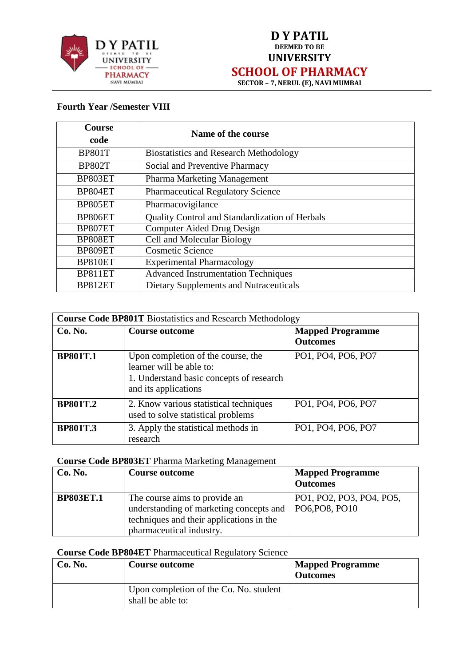

# **D Y PATIL DEEMED TO BE UNIVERSITY SCHOOL OF PHARMACY SECTOR – 7, NERUL (E), NAVI MUMBAI**

#### **Fourth Year /Semester VIII**

| Course<br>code | Name of the course                             |
|----------------|------------------------------------------------|
| <b>BP801T</b>  | <b>Biostatistics and Research Methodology</b>  |
| <b>BP802T</b>  | Social and Preventive Pharmacy                 |
| BP803ET        | <b>Pharma Marketing Management</b>             |
| BP804ET        | <b>Pharmaceutical Regulatory Science</b>       |
| BP805ET        | Pharmacovigilance                              |
| BP806ET        | Quality Control and Standardization of Herbals |
| BP807ET        | Computer Aided Drug Design                     |
| BP808ET        | Cell and Molecular Biology                     |
| BP809ET        | <b>Cosmetic Science</b>                        |
| BP810ET        | <b>Experimental Pharmacology</b>               |
| BP811ET        | <b>Advanced Instrumentation Techniques</b>     |
| BP812ET        | Dietary Supplements and Nutraceuticals         |

| <b>Course Code BP801T</b> Biostatistics and Research Methodology |                                                                                                                                    |                                            |
|------------------------------------------------------------------|------------------------------------------------------------------------------------------------------------------------------------|--------------------------------------------|
| Co. No.                                                          | <b>Course outcome</b>                                                                                                              | <b>Mapped Programme</b><br><b>Outcomes</b> |
| <b>BP801T.1</b>                                                  | Upon completion of the course, the<br>learner will be able to:<br>1. Understand basic concepts of research<br>and its applications | PO1, PO4, PO6, PO7                         |
| <b>BP801T.2</b>                                                  | 2. Know various statistical techniques<br>used to solve statistical problems                                                       | PO1, PO4, PO6, PO7                         |
| <b>BP801T.3</b>                                                  | 3. Apply the statistical methods in<br>research                                                                                    | PO1, PO4, PO6, PO7                         |

#### **Course Code BP803ET** Pharma Marketing Management

| Co. No.          | <b>Course outcome</b>                                                                                                                            | <b>Mapped Programme</b><br><b>Outcomes</b> |
|------------------|--------------------------------------------------------------------------------------------------------------------------------------------------|--------------------------------------------|
| <b>BP803ET.1</b> | The course aims to provide an<br>understanding of marketing concepts and<br>techniques and their applications in the<br>pharmaceutical industry. | PO1, PO2, PO3, PO4, PO5,<br>PO6, PO8, PO10 |

### **Course Code BP804ET** Pharmaceutical Regulatory Science

| Co. No. | <b>Course outcome</b>                                       | <b>Mapped Programme</b><br><b>Outcomes</b> |
|---------|-------------------------------------------------------------|--------------------------------------------|
|         | Upon completion of the Co. No. student<br>shall be able to: |                                            |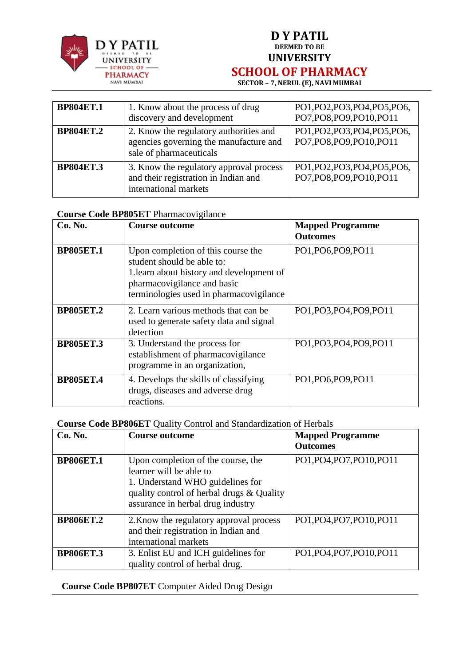



| <b>BP804ET.1</b> | 1. Know about the process of drug<br>discovery and development                                              | PO1, PO2, PO3, PO4, PO5, PO6,<br>PO7, PO8, PO9, PO10, PO11 |
|------------------|-------------------------------------------------------------------------------------------------------------|------------------------------------------------------------|
| <b>BP804ET.2</b> | 2. Know the regulatory authorities and<br>agencies governing the manufacture and<br>sale of pharmaceuticals | PO1,PO2,PO3,PO4,PO5,PO6,<br>PO7, PO8, PO9, PO10, PO11      |
| <b>BP804ET.3</b> | 3. Know the regulatory approval process<br>and their registration in Indian and<br>international markets    | PO1,PO2,PO3,PO4,PO5,PO6,<br>PO7, PO8, PO9, PO10, PO11      |

#### **Course Code BP805ET** Pharmacovigilance

| <b>Co. No.</b>   | <b>Course outcome</b>                                                                                                                                                                   | <b>Mapped Programme</b><br><b>Outcomes</b> |
|------------------|-----------------------------------------------------------------------------------------------------------------------------------------------------------------------------------------|--------------------------------------------|
| <b>BP805ET.1</b> | Upon completion of this course the<br>student should be able to:<br>1. learn about history and development of<br>pharmacovigilance and basic<br>terminologies used in pharmacovigilance | PO1, PO6, PO9, PO11                        |
| <b>BP805ET.2</b> | 2. Learn various methods that can be<br>used to generate safety data and signal<br>detection                                                                                            | PO1, PO3, PO4, PO9, PO11                   |
| <b>BP805ET.3</b> | 3. Understand the process for<br>establishment of pharmacovigilance<br>programme in an organization,                                                                                    | PO1, PO3, PO4, PO9, PO11                   |
| <b>BP805ET.4</b> | 4. Develops the skills of classifying<br>drugs, diseases and adverse drug<br>reactions.                                                                                                 | PO1, PO6, PO9, PO11                        |

**Course Code BP806ET** Quality Control and Standardization of Herbals

| Co. No.          | <b>Course outcome</b>                                                                                                                                                               | <b>Mapped Programme</b><br><b>Outcomes</b> |
|------------------|-------------------------------------------------------------------------------------------------------------------------------------------------------------------------------------|--------------------------------------------|
| <b>BP806ET.1</b> | Upon completion of the course, the<br>learner will be able to<br>1. Understand WHO guidelines for<br>quality control of herbal drugs & Quality<br>assurance in herbal drug industry | PO1, PO4, PO7, PO10, PO11                  |
| <b>BP806ET.2</b> | 2. Know the regulatory approval process<br>and their registration in Indian and<br>international markets                                                                            | PO1, PO4, PO7, PO10, PO11                  |
| <b>BP806ET.3</b> | 3. Enlist EU and ICH guidelines for<br>quality control of herbal drug.                                                                                                              | PO1, PO4, PO7, PO10, PO11                  |

 **Course Code BP807ET** Computer Aided Drug Design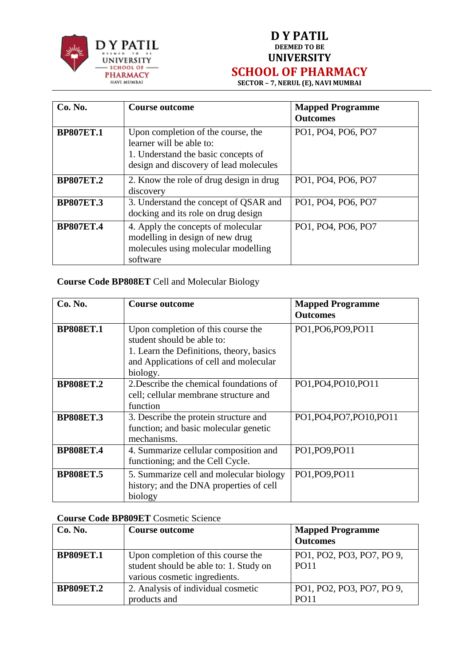

**SECTOR – 7, NERUL (E), NAVI MUMBAI**

| Co. No.          | <b>Course outcome</b>                                                                                                                           | <b>Mapped Programme</b><br><b>Outcomes</b> |
|------------------|-------------------------------------------------------------------------------------------------------------------------------------------------|--------------------------------------------|
| <b>BP807ET.1</b> | Upon completion of the course, the<br>learner will be able to:<br>1. Understand the basic concepts of<br>design and discovery of lead molecules | PO1, PO4, PO6, PO7                         |
| <b>BP807ET.2</b> | 2. Know the role of drug design in drug<br>discovery                                                                                            | PO1, PO4, PO6, PO7                         |
| <b>BP807ET.3</b> | 3. Understand the concept of QSAR and<br>docking and its role on drug design                                                                    | PO1, PO4, PO6, PO7                         |
| <b>BP807ET.4</b> | 4. Apply the concepts of molecular<br>modelling in design of new drug<br>molecules using molecular modelling<br>software                        | PO1, PO4, PO6, PO7                         |

### **Course Code BP808ET** Cell and Molecular Biology

| <b>Co. No.</b>   | <b>Course outcome</b>                                                                                                                                              | <b>Mapped Programme</b><br><b>Outcomes</b> |
|------------------|--------------------------------------------------------------------------------------------------------------------------------------------------------------------|--------------------------------------------|
| <b>BP808ET.1</b> | Upon completion of this course the<br>student should be able to:<br>1. Learn the Definitions, theory, basics<br>and Applications of cell and molecular<br>biology. | PO1, PO6, PO9, PO11                        |
| <b>BP808ET.2</b> | 2. Describe the chemical foundations of<br>cell; cellular membrane structure and<br>function                                                                       | PO1, PO4, PO10, PO11                       |
| <b>BP808ET.3</b> | 3. Describe the protein structure and<br>function; and basic molecular genetic<br>mechanisms.                                                                      | PO1, PO4, PO7, PO10, PO11                  |
| <b>BP808ET.4</b> | 4. Summarize cellular composition and<br>functioning; and the Cell Cycle.                                                                                          | PO1, PO9, PO11                             |
| <b>BP808ET.5</b> | 5. Summarize cell and molecular biology<br>history; and the DNA properties of cell<br>biology                                                                      | PO1, PO9, PO11                             |

### **Course Code BP809ET** Cosmetic Science

| Co. No.          | <b>Course outcome</b>                                                        | <b>Mapped Programme</b>                 |
|------------------|------------------------------------------------------------------------------|-----------------------------------------|
|                  |                                                                              | <b>Outcomes</b>                         |
| <b>BP809ET.1</b> | Upon completion of this course the<br>student should be able to: 1. Study on | PO1, PO2, PO3, PO7, PO9,<br><b>PO11</b> |
|                  | various cosmetic ingredients.                                                |                                         |
| <b>BP809ET.2</b> | 2. Analysis of individual cosmetic                                           | PO1, PO2, PO3, PO7, PO9,                |
|                  | products and                                                                 | <b>PO11</b>                             |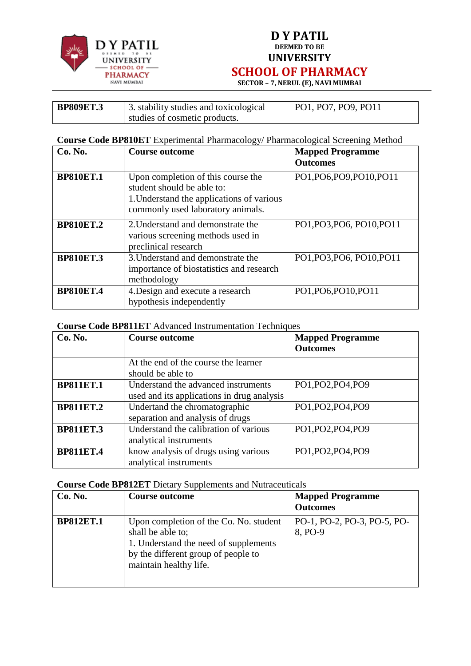



| <b>BP809ET.3</b> | 3. stability studies and toxicological | PO1, PO7, PO9, PO11 |
|------------------|----------------------------------------|---------------------|
|                  | studies of cosmetic products.          |                     |

**Course Code BP810ET** Experimental Pharmacology/ Pharmacological Screening Method

| Co. No.          | <b>Course outcome</b>                                                                                                                              | <b>Mapped Programme</b><br><b>Outcomes</b> |
|------------------|----------------------------------------------------------------------------------------------------------------------------------------------------|--------------------------------------------|
| <b>BP810ET.1</b> | Upon completion of this course the<br>student should be able to:<br>1. Understand the applications of various<br>commonly used laboratory animals. | PO1,PO6,PO9,PO10,PO11                      |
| <b>BP810ET.2</b> | 2. Understand and demonstrate the<br>various screening methods used in<br>preclinical research                                                     | PO1, PO3, PO6, PO10, PO11                  |
| <b>BP810ET.3</b> | 3. Understand and demonstrate the<br>importance of biostatistics and research<br>methodology                                                       | PO1, PO3, PO6, PO10, PO11                  |
| <b>BP810ET.4</b> | 4. Design and execute a research<br>hypothesis independently                                                                                       | PO1, PO6, PO10, PO11                       |

### **Course Code BP811ET** Advanced Instrumentation Techniques

| Co. No.          | <b>Course outcome</b>                                                             | <b>Mapped Programme</b><br><b>Outcomes</b> |
|------------------|-----------------------------------------------------------------------------------|--------------------------------------------|
|                  | At the end of the course the learner<br>should be able to                         |                                            |
| <b>BP811ET.1</b> | Understand the advanced instruments<br>used and its applications in drug analysis | PO1, PO2, PO4, PO9                         |
| <b>BP811ET.2</b> | Undertand the chromatographic<br>separation and analysis of drugs                 | PO1, PO2, PO4, PO9                         |
| <b>BP811ET.3</b> | Understand the calibration of various<br>analytical instruments                   | PO1, PO2, PO4, PO9                         |
| <b>BP811ET.4</b> | know analysis of drugs using various<br>analytical instruments                    | PO1, PO2, PO4, PO9                         |

**Course Code BP812ET** Dietary Supplements and Nutraceuticals

| Co. No.          | <b>Course outcome</b>                                                                                                                                                 | <b>Mapped Programme</b><br><b>Outcomes</b> |
|------------------|-----------------------------------------------------------------------------------------------------------------------------------------------------------------------|--------------------------------------------|
| <b>BP812ET.1</b> | Upon completion of the Co. No. student<br>shall be able to;<br>1. Understand the need of supplements<br>by the different group of people to<br>maintain healthy life. | PO-1, PO-2, PO-3, PO-5, PO-<br>8, PO-9     |